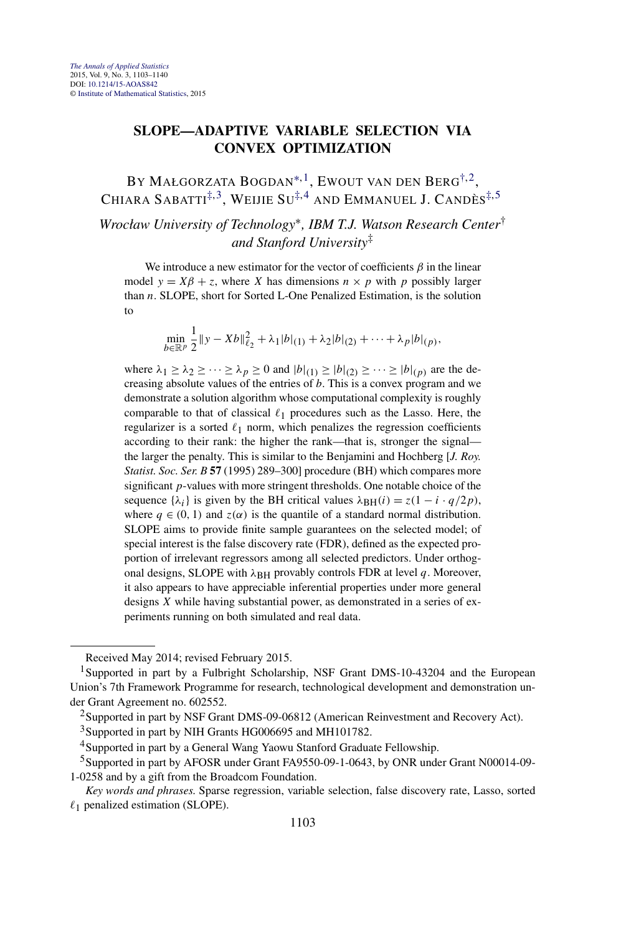## **SLOPE—ADAPTIVE VARIABLE SELECTION VIA CONVEX OPTIMIZATION**

BY MAŁGORZATA BOGDAN<sup>\*, 1</sup>, EWOUT VAN DEN BERG<sup>†, 2</sup>, CHIARA SABATTI<sup>‡, 3</sup>, WEIJIE SU<sup>‡, 4</sup> AND EMMANUEL J. CANDÈS<sup>‡, 5</sup>

*Wrocław University of Technology*∗*, IBM T.J. Watson Research Center*† *and Stanford University*‡

We introduce a new estimator for the vector of coefficients  $\beta$  in the linear model  $y = X\beta + z$ , where *X* has dimensions  $n \times p$  with *p* possibly larger than *n*. SLOPE, short for Sorted L-One Penalized Estimation, is the solution to

$$
\min_{b \in \mathbb{R}^p} \frac{1}{2} \|y - Xb\|_{\ell_2}^2 + \lambda_1 |b|_{(1)} + \lambda_2 |b|_{(2)} + \cdots + \lambda_p |b|_{(p)},
$$

where  $\lambda_1 \geq \lambda_2 \geq \cdots \geq \lambda_p \geq 0$  and  $|b|_{(1)} \geq |b|_{(2)} \geq \cdots \geq |b|_{(p)}$  are the decreasing absolute values of the entries of *b*. This is a convex program and we demonstrate a solution algorithm whose computational complexity is roughly comparable to that of classical  $\ell_1$  procedures such as the Lasso. Here, the regularizer is a sorted  $\ell_1$  norm, which penalizes the regression coefficients according to their rank: the higher the rank—that is, stronger the signal the larger the penalty. This is similar to the Benjamini and Hochberg [*J. Roy. Statist. Soc. Ser. B* **57** (1995) 289–300] procedure (BH) which compares more significant *p*-values with more stringent thresholds. One notable choice of the sequence  $\{\lambda_i\}$  is given by the BH critical values  $\lambda_{\text{BH}}(i) = z(1 - i \cdot q/2p)$ , where  $q \in (0, 1)$  and  $z(\alpha)$  is the quantile of a standard normal distribution. SLOPE aims to provide finite sample guarantees on the selected model; of special interest is the false discovery rate (FDR), defined as the expected proportion of irrelevant regressors among all selected predictors. Under orthogonal designs, SLOPE with  $\lambda_{\rm BH}$  provably controls FDR at level q. Moreover, it also appears to have appreciable inferential properties under more general designs *X* while having substantial power, as demonstrated in a series of experiments running on both simulated and real data.

3Supported in part by NIH Grants HG006695 and MH101782.

Received May 2014; revised February 2015.

<sup>&</sup>lt;sup>1</sup>Supported in part by a Fulbright Scholarship, NSF Grant DMS-10-43204 and the European Union's 7th Framework Programme for research, technological development and demonstration under Grant Agreement no. 602552.

<sup>2</sup>Supported in part by NSF Grant DMS-09-06812 (American Reinvestment and Recovery Act).

<sup>&</sup>lt;sup>4</sup>Supported in part by a General Wang Yaowu Stanford Graduate Fellowship.

<sup>5</sup>Supported in part by AFOSR under Grant FA9550-09-1-0643, by ONR under Grant N00014-09- 1-0258 and by a gift from the Broadcom Foundation.

*Key words and phrases.* Sparse regression, variable selection, false discovery rate, Lasso, sorted  $\ell_1$  penalized estimation (SLOPE).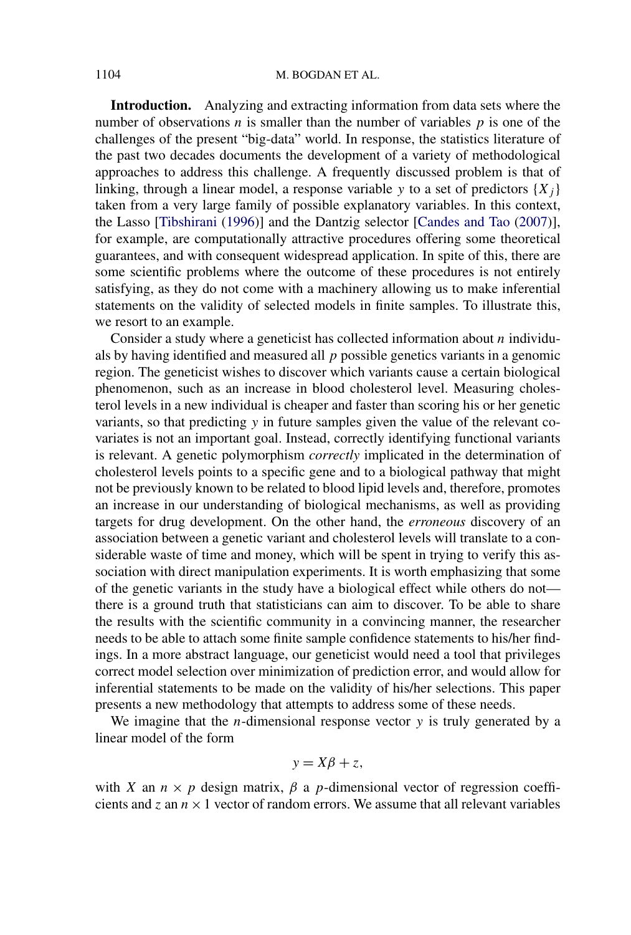**Introduction.** Analyzing and extracting information from data sets where the number of observations *n* is smaller than the number of variables *p* is one of the challenges of the present "big-data" world. In response, the statistics literature of the past two decades documents the development of a variety of methodological approaches to address this challenge. A frequently discussed problem is that of linking, through a linear model, a response variable *y* to a set of predictors  ${X_i}$ taken from a very large family of possible explanatory variables. In this context, the Lasso [\[Tibshirani](#page-37-0) [\(1996\)](#page-37-0)] and the Dantzig selector [\[Candes and Tao](#page-35-0) [\(2007\)](#page-35-0)], for example, are computationally attractive procedures offering some theoretical guarantees, and with consequent widespread application. In spite of this, there are some scientific problems where the outcome of these procedures is not entirely satisfying, as they do not come with a machinery allowing us to make inferential statements on the validity of selected models in finite samples. To illustrate this, we resort to an example.

Consider a study where a geneticist has collected information about *n* individuals by having identified and measured all *p* possible genetics variants in a genomic region. The geneticist wishes to discover which variants cause a certain biological phenomenon, such as an increase in blood cholesterol level. Measuring cholesterol levels in a new individual is cheaper and faster than scoring his or her genetic variants, so that predicting *y* in future samples given the value of the relevant covariates is not an important goal. Instead, correctly identifying functional variants is relevant. A genetic polymorphism *correctly* implicated in the determination of cholesterol levels points to a specific gene and to a biological pathway that might not be previously known to be related to blood lipid levels and, therefore, promotes an increase in our understanding of biological mechanisms, as well as providing targets for drug development. On the other hand, the *erroneous* discovery of an association between a genetic variant and cholesterol levels will translate to a considerable waste of time and money, which will be spent in trying to verify this association with direct manipulation experiments. It is worth emphasizing that some of the genetic variants in the study have a biological effect while others do not there is a ground truth that statisticians can aim to discover. To be able to share the results with the scientific community in a convincing manner, the researcher needs to be able to attach some finite sample confidence statements to his/her findings. In a more abstract language, our geneticist would need a tool that privileges correct model selection over minimization of prediction error, and would allow for inferential statements to be made on the validity of his/her selections. This paper presents a new methodology that attempts to address some of these needs.

We imagine that the *n*-dimensional response vector *y* is truly generated by a linear model of the form

$$
y = X\beta + z,
$$

with *X* an  $n \times p$  design matrix,  $\beta$  a *p*-dimensional vector of regression coefficients and *z* an  $n \times 1$  vector of random errors. We assume that all relevant variables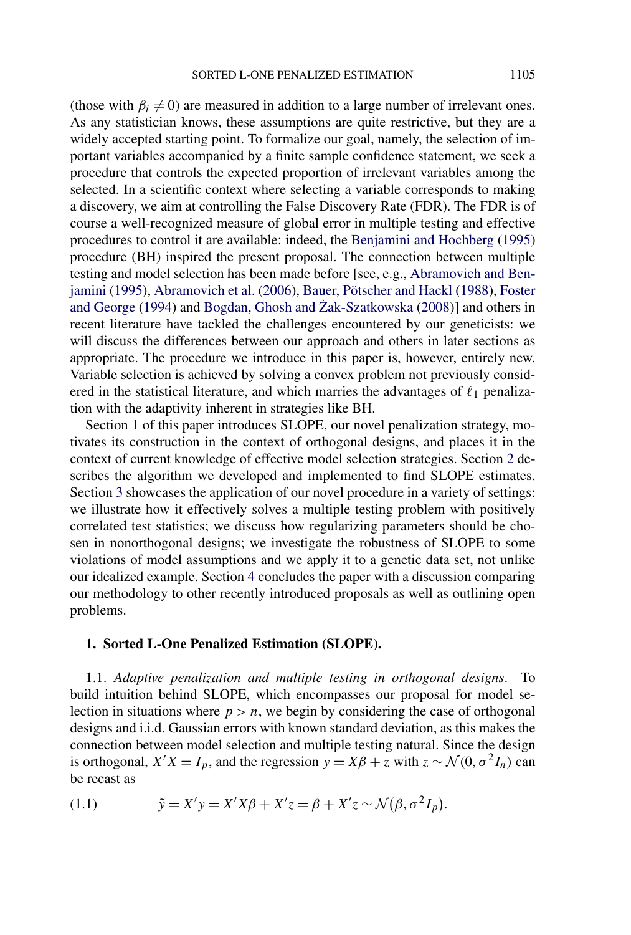(those with  $\beta_i \neq 0$ ) are measured in addition to a large number of irrelevant ones. As any statistician knows, these assumptions are quite restrictive, but they are a widely accepted starting point. To formalize our goal, namely, the selection of important variables accompanied by a finite sample confidence statement, we seek a procedure that controls the expected proportion of irrelevant variables among the selected. In a scientific context where selecting a variable corresponds to making a discovery, we aim at controlling the False Discovery Rate (FDR). The FDR is of course a well-recognized measure of global error in multiple testing and effective procedures to control it are available: indeed, the [Benjamini and Hochberg](#page-35-0) [\(1995\)](#page-35-0) procedure (BH) inspired the present proposal. The connection between multiple testing and model selection has been made before [see, e.g., [Abramovich and Ben](#page-34-0)[jamini](#page-34-0) [\(1995\)](#page-34-0), [Abramovich et al.](#page-35-0) [\(2006\)](#page-35-0), [Bauer, Pötscher and Hackl](#page-35-0) [\(1988\)](#page-35-0), [Foster](#page-35-0) [and George](#page-35-0) [\(1994\)](#page-35-0) and [Bogdan, Ghosh and](#page-35-0) Żak-Szatkowska [\(2008\)](#page-35-0)] and others in recent literature have tackled the challenges encountered by our geneticists: we will discuss the differences between our approach and others in later sections as appropriate. The procedure we introduce in this paper is, however, entirely new. Variable selection is achieved by solving a convex problem not previously considered in the statistical literature, and which marries the advantages of  $\ell_1$  penalization with the adaptivity inherent in strategies like BH.

Section 1 of this paper introduces SLOPE, our novel penalization strategy, motivates its construction in the context of orthogonal designs, and places it in the context of current knowledge of effective model selection strategies. Section [2](#page-10-0) describes the algorithm we developed and implemented to find SLOPE estimates. Section [3](#page-15-0) showcases the application of our novel procedure in a variety of settings: we illustrate how it effectively solves a multiple testing problem with positively correlated test statistics; we discuss how regularizing parameters should be chosen in nonorthogonal designs; we investigate the robustness of SLOPE to some violations of model assumptions and we apply it to a genetic data set, not unlike our idealized example. Section [4](#page-33-0) concludes the paper with a discussion comparing our methodology to other recently introduced proposals as well as outlining open problems.

#### **1. Sorted L-One Penalized Estimation (SLOPE).**

1.1. *Adaptive penalization and multiple testing in orthogonal designs*. To build intuition behind SLOPE, which encompasses our proposal for model selection in situations where  $p > n$ , we begin by considering the case of orthogonal designs and i.i.d. Gaussian errors with known standard deviation, as this makes the connection between model selection and multiple testing natural. Since the design is orthogonal,  $X'X = I_p$ , and the regression  $y = X\beta + z$  with  $z \sim \mathcal{N}(0, \sigma^2 I_n)$  can be recast as

(1.1) 
$$
\tilde{y} = X'y = X'X\beta + X'z = \beta + X'z \sim \mathcal{N}(\beta, \sigma^2 I_p).
$$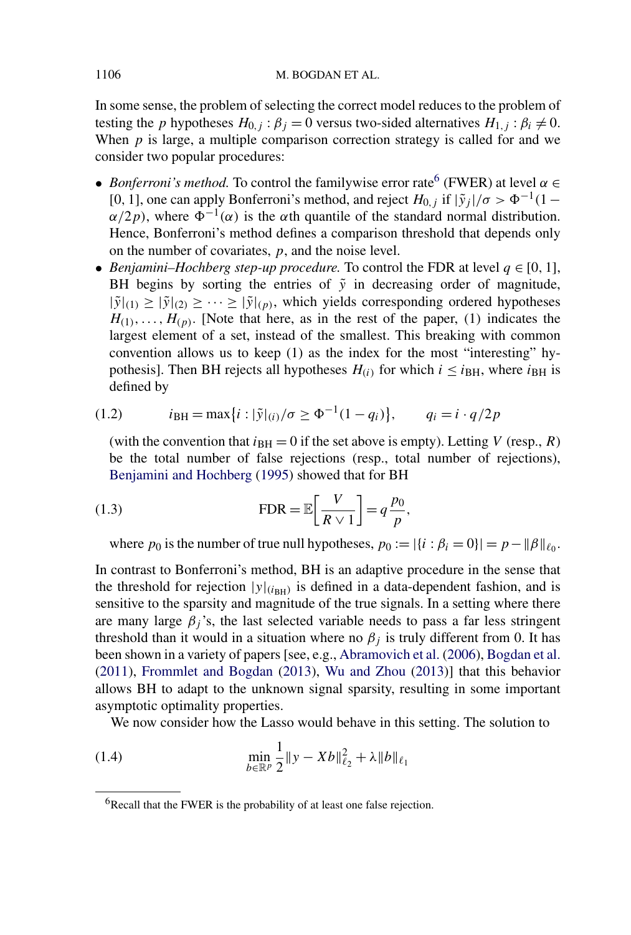In some sense, the problem of selecting the correct model reduces to the problem of testing the *p* hypotheses  $H_{0,j}$ :  $\beta_j = 0$  versus two-sided alternatives  $H_{1,j}$ :  $\beta_i \neq 0$ . When  $p$  is large, a multiple comparison correction strategy is called for and we consider two popular procedures:

- *Bonferroni's method*. To control the familywise error rate<sup>6</sup> (FWER) at level  $\alpha \in$ [0, 1], one can apply Bonferroni's method, and reject  $H_{0,j}$  if  $|\tilde{y}_j|/\sigma > \Phi^{-1}(1 \alpha/2p$ , where  $\Phi^{-1}(\alpha)$  is the  $\alpha$ th quantile of the standard normal distribution. Hence, Bonferroni's method defines a comparison threshold that depends only on the number of covariates, *p*, and the noise level.
- *Benjamini–Hochberg step-up procedure.* To control the FDR at level  $q \in [0, 1]$ , BH begins by sorting the entries of  $\tilde{y}$  in decreasing order of magnitude,  $|\tilde{y}|_{(1)} \geq |\tilde{y}|_{(2)} \geq \cdots \geq |\tilde{y}|_{(p)}$ , which yields corresponding ordered hypotheses  $H_{(1)}, \ldots, H_{(p)}$ . [Note that here, as in the rest of the paper, (1) indicates the largest element of a set, instead of the smallest. This breaking with common convention allows us to keep (1) as the index for the most "interesting" hypothesis]. Then BH rejects all hypotheses  $H(i)$  for which  $i \leq i_{\text{BH}}$ , where  $i_{\text{BH}}$  is defined by

(1.2) 
$$
i_{\text{BH}} = \max\{i : |\tilde{y}|_{(i)}/\sigma \ge \Phi^{-1}(1 - q_i)\}, \qquad q_i = i \cdot q/2p
$$

(with the convention that  $i_{\text{BH}} = 0$  if the set above is empty). Letting *V* (resp., *R*) be the total number of false rejections (resp., total number of rejections), [Benjamini and Hochberg](#page-35-0) [\(1995\)](#page-35-0) showed that for BH

(1.3) 
$$
\text{FDR} = \mathbb{E}\left[\frac{V}{R \vee 1}\right] = q\frac{p_0}{p},
$$

where  $p_0$  is the number of true null hypotheses,  $p_0 := |\{i : \beta_i = 0\}| = p - ||\beta||_{\ell_0}$ .

In contrast to Bonferroni's method, BH is an adaptive procedure in the sense that the threshold for rejection  $|y|_{(i_{\text{BH}})}$  is defined in a data-dependent fashion, and is sensitive to the sparsity and magnitude of the true signals. In a setting where there are many large  $\beta_i$ 's, the last selected variable needs to pass a far less stringent threshold than it would in a situation where no  $\beta_i$  is truly different from 0. It has been shown in a variety of papers [see, e.g., [Abramovich et al.](#page-35-0) [\(2006\)](#page-35-0), [Bogdan et al.](#page-35-0) [\(2011\)](#page-35-0), [Frommlet and Bogdan](#page-36-0) [\(2013\)](#page-36-0), [Wu and Zhou](#page-37-0) [\(2013\)](#page-37-0)] that this behavior allows BH to adapt to the unknown signal sparsity, resulting in some important asymptotic optimality properties.

We now consider how the Lasso would behave in this setting. The solution to

(1.4) 
$$
\min_{b \in \mathbb{R}^p} \frac{1}{2} \|y - Xb\|_{\ell_2}^2 + \lambda \|b\|_{\ell_1}
$$

 ${}^{6}$ Recall that the FWER is the probability of at least one false rejection.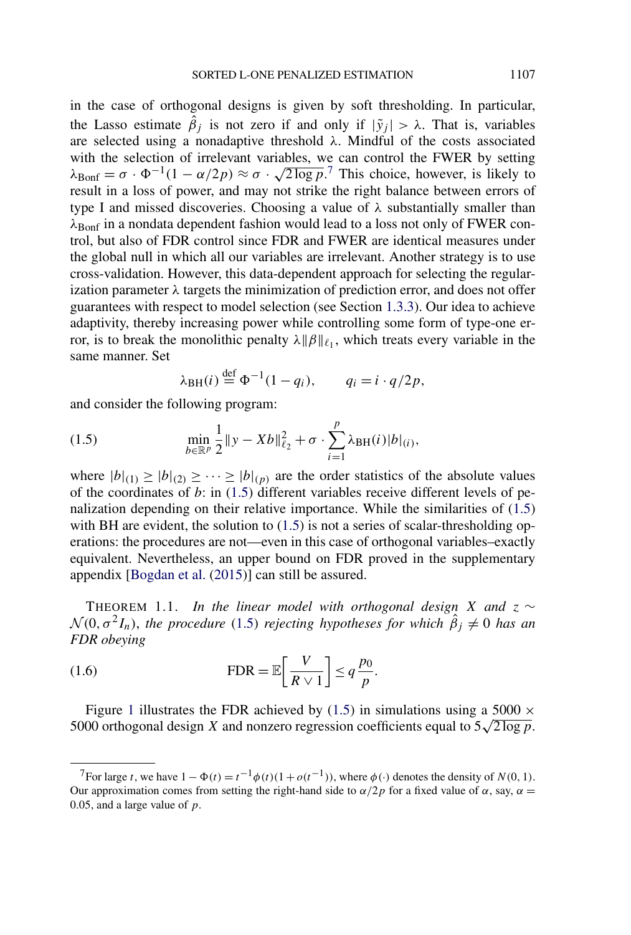<span id="page-4-0"></span>in the case of orthogonal designs is given by soft thresholding. In particular, the Lasso estimate  $\hat{\beta}_j$  is not zero if and only if  $|\tilde{y}_j| > \lambda$ . That is, variables are selected using a nonadaptive threshold *λ*. Mindful of the costs associated with the selection of irrelevant variables, we can control the FWER by setting  $\lambda_{\text{Bonf}} = \sigma \cdot \Phi^{-1}(1 - \alpha/2p) \approx \sigma \cdot \sqrt{2 \log p}$ . This choice, however, is likely to result in a loss of power, and may not strike the right balance between errors of type I and missed discoveries. Choosing a value of *λ* substantially smaller than *λ*Bonf in a nondata dependent fashion would lead to a loss not only of FWER control, but also of FDR control since FDR and FWER are identical measures under the global null in which all our variables are irrelevant. Another strategy is to use cross-validation. However, this data-dependent approach for selecting the regularization parameter *λ* targets the minimization of prediction error, and does not offer guarantees with respect to model selection (see Section [1.3.3\)](#page-9-0). Our idea to achieve adaptivity, thereby increasing power while controlling some form of type-one error, is to break the monolithic penalty  $\lambda \|\beta\|_{\ell_1}$ , which treats every variable in the same manner. Set

$$
\lambda_{\rm BH}(i) \stackrel{\rm def}{=} \Phi^{-1}(1-q_i), \qquad q_i = i \cdot q/2p,
$$

and consider the following program:

(1.5) 
$$
\min_{b \in \mathbb{R}^p} \frac{1}{2} \|y - Xb\|_{\ell_2}^2 + \sigma \cdot \sum_{i=1}^p \lambda_{\text{BH}}(i) |b|_{(i)},
$$

where  $|b|_{(1)} \ge |b|_{(2)} \ge \cdots \ge |b|_{(p)}$  are the order statistics of the absolute values of the coordinates of *b*: in (1.5) different variables receive different levels of penalization depending on their relative importance. While the similarities of (1.5) with BH are evident, the solution to  $(1.5)$  is not a series of scalar-thresholding operations: the procedures are not—even in this case of orthogonal variables–exactly equivalent. Nevertheless, an upper bound on FDR proved in the supplementary appendix [\[Bogdan et al.](#page-35-0) [\(2015\)](#page-35-0)] can still be assured.

THEOREM 1.1. *In the linear model with orthogonal design X and*  $z \sim$  $\mathcal{N}(0, \sigma^2 I_n)$ , *the procedure* (1.5) *rejecting hypotheses for which*  $\hat{\beta}_j \neq 0$  *has an FDR obeying*

(1.6) 
$$
\text{FDR} = \mathbb{E}\left[\frac{V}{R \vee 1}\right] \leq q \frac{p_0}{p}.
$$

Figure [1](#page-5-0) illustrates the FDR achieved by (1.5) in simulations using a 5000  $\times$ 5000 orthogonal design *X* and nonzero regression coefficients equal to  $5\sqrt{2 \log p}$ .

 $^7$ For large *t*, we have  $1 - \Phi(t) = t^{-1}\phi(t)(1 + o(t^{-1}))$ , where  $\phi(\cdot)$  denotes the density of *N*(0*,* 1). Our approximation comes from setting the right-hand side to  $\alpha/2p$  for a fixed value of  $\alpha$ , say,  $\alpha =$ 0*.*05, and a large value of *p*.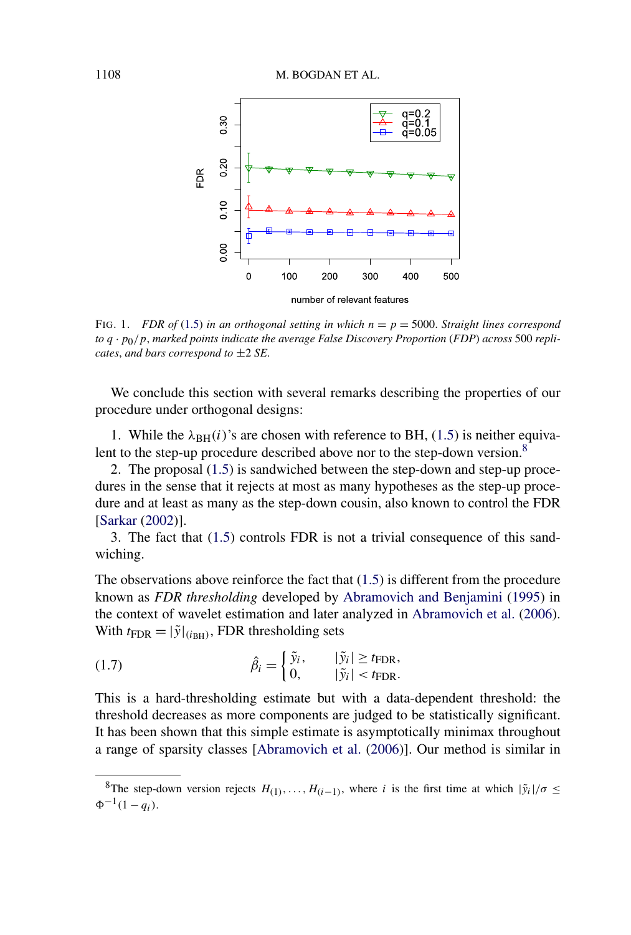<span id="page-5-0"></span>

FIG. 1. *FDR of* [\(1.5\)](#page-4-0) *in an orthogonal setting in which*  $n = p = 5000$ *. Straight lines correspond to q* · *p*0*/p*, *marked points indicate the average False Discovery Proportion* (*FDP*) *across* 500 *replicates*, *and bars correspond to* ±2 *SE*.

We conclude this section with several remarks describing the properties of our procedure under orthogonal designs:

1. While the  $\lambda_{\text{BH}}(i)$ 's are chosen with reference to BH, [\(1.5\)](#page-4-0) is neither equivalent to the step-up procedure described above nor to the step-down version.<sup>8</sup>

2. The proposal [\(1.5\)](#page-4-0) is sandwiched between the step-down and step-up procedures in the sense that it rejects at most as many hypotheses as the step-up procedure and at least as many as the step-down cousin, also known to control the FDR [\[Sarkar](#page-36-0) [\(2002\)](#page-36-0)].

3. The fact that [\(1.5\)](#page-4-0) controls FDR is not a trivial consequence of this sandwiching.

The observations above reinforce the fact that [\(1.5\)](#page-4-0) is different from the procedure known as *FDR thresholding* developed by [Abramovich and Benjamini](#page-34-0) [\(1995\)](#page-34-0) in the context of wavelet estimation and later analyzed in [Abramovich et al.](#page-35-0) [\(2006\)](#page-35-0). With  $t_{\text{FDR}} = |\tilde{y}|_{(i_{\text{BH}})}$ , FDR thresholding sets

(1.7) 
$$
\hat{\beta}_i = \begin{cases} \tilde{y}_i, & |\tilde{y}_i| \ge t_{\text{FDR}}, \\ 0, & |\tilde{y}_i| < t_{\text{FDR}}. \end{cases}
$$

This is a hard-thresholding estimate but with a data-dependent threshold: the threshold decreases as more components are judged to be statistically significant. It has been shown that this simple estimate is asymptotically minimax throughout a range of sparsity classes [\[Abramovich et al.](#page-35-0) [\(2006\)](#page-35-0)]. Our method is similar in

<sup>&</sup>lt;sup>8</sup>The step-down version rejects  $H_{(1)}, \ldots, H_{(i-1)}$ , where *i* is the first time at which  $|\tilde{y}_i|/\sigma \leq$  $\Phi^{-1}(1 - q_i)$ .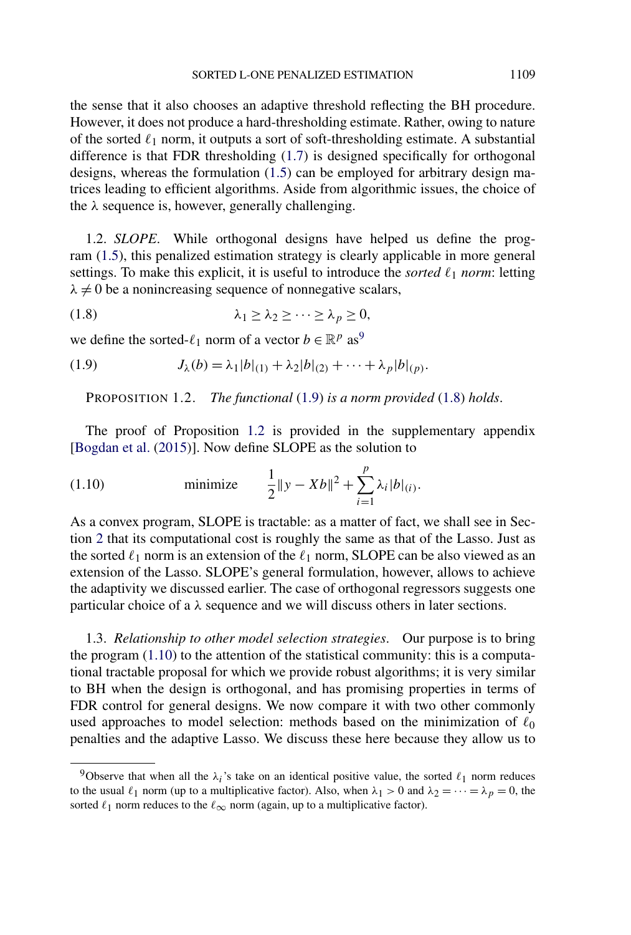<span id="page-6-0"></span>the sense that it also chooses an adaptive threshold reflecting the BH procedure. However, it does not produce a hard-thresholding estimate. Rather, owing to nature of the sorted  $\ell_1$  norm, it outputs a sort of soft-thresholding estimate. A substantial difference is that FDR thresholding [\(1.7\)](#page-5-0) is designed specifically for orthogonal designs, whereas the formulation [\(1.5\)](#page-4-0) can be employed for arbitrary design matrices leading to efficient algorithms. Aside from algorithmic issues, the choice of the  $\lambda$  sequence is, however, generally challenging.

1.2. *SLOPE*. While orthogonal designs have helped us define the program [\(1.5\)](#page-4-0), this penalized estimation strategy is clearly applicable in more general settings. To make this explicit, it is useful to introduce the *sorted*  $\ell_1$  *norm*: letting  $\lambda \neq 0$  be a nonincreasing sequence of nonnegative scalars,

$$
\lambda_1 \geq \lambda_2 \geq \cdots \geq \lambda_p \geq 0,
$$

we define the sorted- $\ell_1$  norm of a vector  $b \in \mathbb{R}^p$  as<sup>9</sup>

(1.9) 
$$
J_{\lambda}(b) = \lambda_1 |b|_{(1)} + \lambda_2 |b|_{(2)} + \cdots + \lambda_p |b|_{(p)}.
$$

PROPOSITION 1.2. *The functional* (1.9) *is a norm provided* (1.8) *holds*.

The proof of Proposition 1.2 is provided in the supplementary appendix [\[Bogdan et al.](#page-35-0) [\(2015\)](#page-35-0)]. Now define SLOPE as the solution to

(1.10) minimize 
$$
\frac{1}{2} \|y - Xb\|^2 + \sum_{i=1}^p \lambda_i |b|_{(i)}.
$$

As a convex program, SLOPE is tractable: as a matter of fact, we shall see in Section [2](#page-10-0) that its computational cost is roughly the same as that of the Lasso. Just as the sorted  $\ell_1$  norm is an extension of the  $\ell_1$  norm, SLOPE can be also viewed as an extension of the Lasso. SLOPE's general formulation, however, allows to achieve the adaptivity we discussed earlier. The case of orthogonal regressors suggests one particular choice of a  $\lambda$  sequence and we will discuss others in later sections.

1.3. *Relationship to other model selection strategies*. Our purpose is to bring the program  $(1.10)$  to the attention of the statistical community: this is a computational tractable proposal for which we provide robust algorithms; it is very similar to BH when the design is orthogonal, and has promising properties in terms of FDR control for general designs. We now compare it with two other commonly used approaches to model selection: methods based on the minimization of  $\ell_0$ penalties and the adaptive Lasso. We discuss these here because they allow us to

<sup>&</sup>lt;sup>9</sup>Observe that when all the  $\lambda_i$ 's take on an identical positive value, the sorted  $\ell_1$  norm reduces to the usual  $\ell_1$  norm (up to a multiplicative factor). Also, when  $\lambda_1 > 0$  and  $\lambda_2 = \cdots = \lambda_p = 0$ , the sorted  $\ell_1$  norm reduces to the  $\ell_{\infty}$  norm (again, up to a multiplicative factor).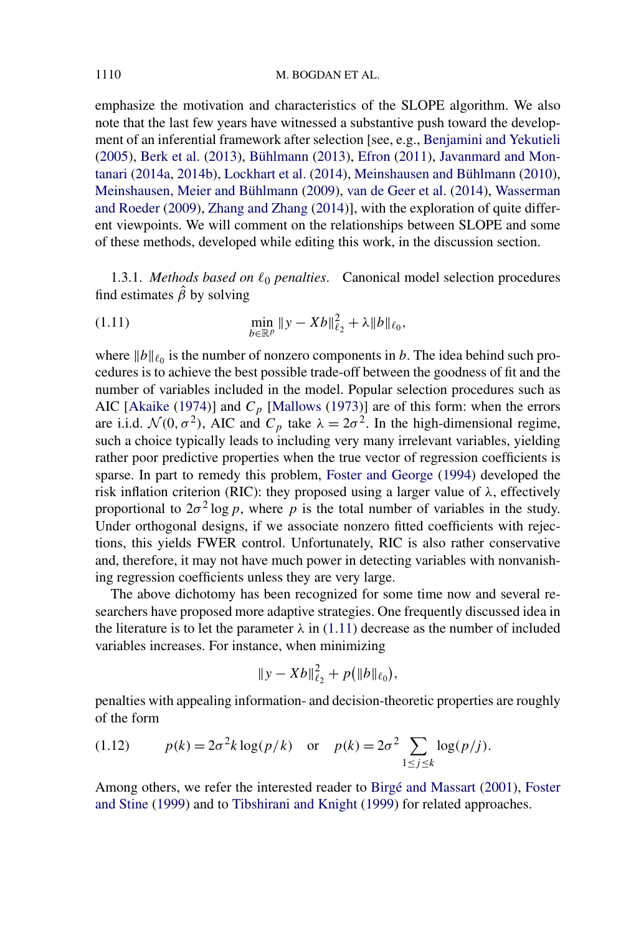<span id="page-7-0"></span>emphasize the motivation and characteristics of the SLOPE algorithm. We also note that the last few years have witnessed a substantive push toward the development of an inferential framework after selection [see, e.g., [Benjamini and Yekutieli](#page-35-0) [\(2005\)](#page-35-0), [Berk et al.](#page-35-0) [\(2013\)](#page-35-0), [Bühlmann](#page-35-0) [\(2013\)](#page-35-0), [Efron](#page-35-0) [\(2011\)](#page-35-0), [Javanmard and Mon](#page-36-0)[tanari](#page-36-0) [\(2014a,](#page-36-0) [2014b\)](#page-36-0), [Lockhart et al.](#page-36-0) [\(2014\)](#page-36-0), [Meinshausen and Bühlmann](#page-36-0) [\(2010\)](#page-36-0), [Meinshausen, Meier and Bühlmann](#page-36-0) [\(2009\)](#page-36-0), [van de Geer et al.](#page-37-0) [\(2014\)](#page-37-0), [Wasserman](#page-37-0) [and Roeder](#page-37-0) [\(2009\)](#page-37-0), [Zhang and Zhang](#page-37-0) [\(2014\)](#page-37-0)], with the exploration of quite different viewpoints. We will comment on the relationships between SLOPE and some of these methods, developed while editing this work, in the discussion section.

1.3.1. *Methods based on*  $\ell_0$  *penalties*. Canonical model selection procedures find estimates  $\hat{\beta}$  by solving

(1.11) 
$$
\min_{b \in \mathbb{R}^p} \|y - Xb\|_{\ell_2}^2 + \lambda \|b\|_{\ell_0},
$$

where  $||b||_{\ell_0}$  is the number of nonzero components in *b*. The idea behind such procedures is to achieve the best possible trade-off between the goodness of fit and the number of variables included in the model. Popular selection procedures such as AIC [\[Akaike](#page-35-0) [\(1974\)](#page-35-0)] and  $C_p$  [\[Mallows](#page-36-0) [\(1973\)](#page-36-0)] are of this form: when the errors are i.i.d.  $\mathcal{N}(0, \sigma^2)$ , AIC and  $C_p$  take  $\lambda = 2\sigma^2$ . In the high-dimensional regime, such a choice typically leads to including very many irrelevant variables, yielding rather poor predictive properties when the true vector of regression coefficients is sparse. In part to remedy this problem, [Foster and George](#page-35-0) [\(1994\)](#page-35-0) developed the risk inflation criterion (RIC): they proposed using a larger value of *λ*, effectively proportional to  $2\sigma^2 \log p$ , where *p* is the total number of variables in the study. Under orthogonal designs, if we associate nonzero fitted coefficients with rejections, this yields FWER control. Unfortunately, RIC is also rather conservative and, therefore, it may not have much power in detecting variables with nonvanishing regression coefficients unless they are very large.

The above dichotomy has been recognized for some time now and several researchers have proposed more adaptive strategies. One frequently discussed idea in the literature is to let the parameter  $\lambda$  in (1.11) decrease as the number of included variables increases. For instance, when minimizing

$$
||y-Xb||_{\ell_2}^2 + p(||b||_{\ell_0}),
$$

penalties with appealing information- and decision-theoretic properties are roughly of the form

(1.12) 
$$
p(k) = 2\sigma^2 k \log(p/k)
$$
 or  $p(k) = 2\sigma^2 \sum_{1 \le j \le k} \log(p/j)$ .

Among others, we refer the interested reader to [Birgé and Massart](#page-35-0) [\(2001\)](#page-35-0), [Foster](#page-36-0) [and Stine](#page-36-0) [\(1999\)](#page-36-0) and to [Tibshirani and Knight](#page-37-0) [\(1999\)](#page-37-0) for related approaches.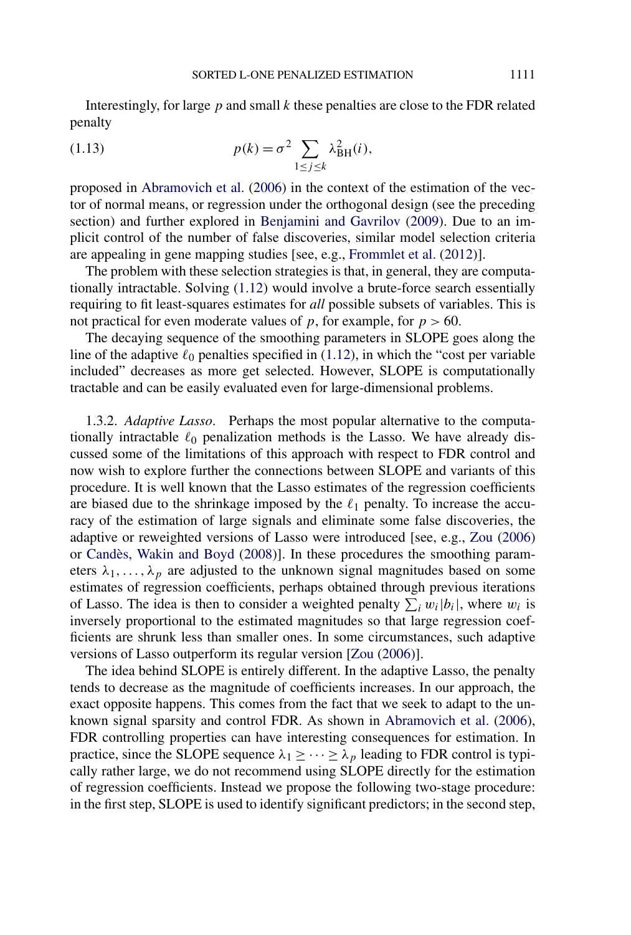Interestingly, for large *p* and small *k* these penalties are close to the FDR related penalty

(1.13) 
$$
p(k) = \sigma^2 \sum_{1 \le j \le k} \lambda_{\text{BH}}^2(i),
$$

proposed in [Abramovich et al.](#page-35-0) [\(2006\)](#page-35-0) in the context of the estimation of the vector of normal means, or regression under the orthogonal design (see the preceding section) and further explored in [Benjamini and Gavrilov](#page-35-0) [\(2009\)](#page-35-0). Due to an implicit control of the number of false discoveries, similar model selection criteria are appealing in gene mapping studies [see, e.g., [Frommlet et al.](#page-36-0) [\(2012\)](#page-36-0)].

The problem with these selection strategies is that, in general, they are computationally intractable. Solving [\(1.12\)](#page-7-0) would involve a brute-force search essentially requiring to fit least-squares estimates for *all* possible subsets of variables. This is not practical for even moderate values of  $p$ , for example, for  $p > 60$ .

The decaying sequence of the smoothing parameters in SLOPE goes along the line of the adaptive  $\ell_0$  penalties specified in [\(1.12\)](#page-7-0), in which the "cost per variable" included" decreases as more get selected. However, SLOPE is computationally tractable and can be easily evaluated even for large-dimensional problems.

1.3.2. *Adaptive Lasso*. Perhaps the most popular alternative to the computationally intractable  $\ell_0$  penalization methods is the Lasso. We have already discussed some of the limitations of this approach with respect to FDR control and now wish to explore further the connections between SLOPE and variants of this procedure. It is well known that the Lasso estimates of the regression coefficients are biased due to the shrinkage imposed by the  $\ell_1$  penalty. To increase the accuracy of the estimation of large signals and eliminate some false discoveries, the adaptive or reweighted versions of Lasso were introduced [see, e.g., [Zou](#page-37-0) [\(2006\)](#page-37-0) or [Candès, Wakin and Boyd](#page-35-0) [\(2008\)](#page-35-0)]. In these procedures the smoothing parameters  $\lambda_1, \ldots, \lambda_p$  are adjusted to the unknown signal magnitudes based on some estimates of regression coefficients, perhaps obtained through previous iterations of Lasso. The idea is then to consider a weighted penalty  $\sum_i w_i |b_i|$ , where  $w_i$  is inversely proportional to the estimated magnitudes so that large regression coefficients are shrunk less than smaller ones. In some circumstances, such adaptive versions of Lasso outperform its regular version [\[Zou](#page-37-0) [\(2006\)](#page-37-0)].

The idea behind SLOPE is entirely different. In the adaptive Lasso, the penalty tends to decrease as the magnitude of coefficients increases. In our approach, the exact opposite happens. This comes from the fact that we seek to adapt to the unknown signal sparsity and control FDR. As shown in [Abramovich et al.](#page-35-0) [\(2006\)](#page-35-0), FDR controlling properties can have interesting consequences for estimation. In practice, since the SLOPE sequence  $\lambda_1 \geq \cdots \geq \lambda_p$  leading to FDR control is typically rather large, we do not recommend using SLOPE directly for the estimation of regression coefficients. Instead we propose the following two-stage procedure: in the first step, SLOPE is used to identify significant predictors; in the second step,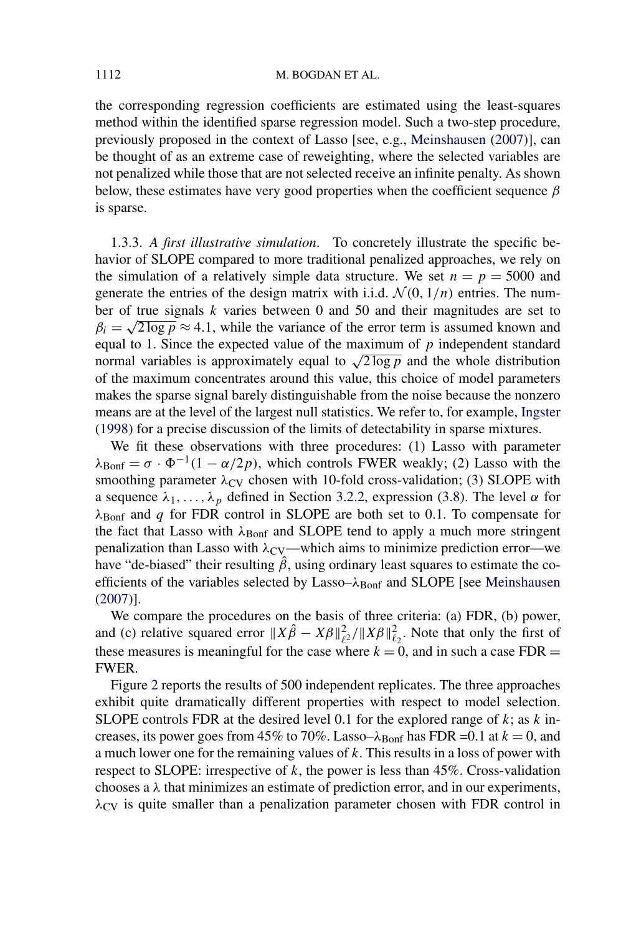<span id="page-9-0"></span>the corresponding regression coefficients are estimated using the least-squares method within the identified sparse regression model. Such a two-step procedure, previously proposed in the context of Lasso [see, e.g., [Meinshausen](#page-36-0) [\(2007\)](#page-36-0)], can be thought of as an extreme case of reweighting, where the selected variables are not penalized while those that are not selected receive an infinite penalty. As shown below, these estimates have very good properties when the coefficient sequence *β* is sparse.

1.3.3. *A first illustrative simulation*. To concretely illustrate the specific behavior of SLOPE compared to more traditional penalized approaches, we rely on the simulation of a relatively simple data structure. We set  $n = p = 5000$  and generate the entries of the design matrix with i.i.d.  $\mathcal{N}(0, 1/n)$  entries. The number of true signals *k* varies between 0 and 50 and their magnitudes are set to  $\beta_i = \sqrt{2 \log p} \approx 4.1$ , while the variance of the error term is assumed known and equal to 1. Since the expected value of the maximum of *p* independent standard normal variables is approximately equal to  $\sqrt{2 \log p}$  and the whole distribution of the maximum concentrates around this value, this choice of model parameters makes the sparse signal barely distinguishable from the noise because the nonzero means are at the level of the largest null statistics. We refer to, for example, [Ingster](#page-36-0) [\(1998\)](#page-36-0) for a precise discussion of the limits of detectability in sparse mixtures.

We fit these observations with three procedures: (1) Lasso with parameter  $\lambda_{\text{Bonf}} = \sigma \cdot \Phi^{-1}(1 - \alpha/2p)$ , which controls FWER weakly; (2) Lasso with the smoothing parameter  $\lambda_{CV}$  chosen with 10-fold cross-validation; (3) SLOPE with a sequence  $\lambda_1, \ldots, \lambda_n$  defined in Section [3.2.2,](#page-20-0) expression [\(3.8\)](#page-22-0). The level  $\alpha$  for *λ*Bonf and *q* for FDR control in SLOPE are both set to 0.1. To compensate for the fact that Lasso with  $\lambda_{\text{Bonf}}$  and SLOPE tend to apply a much more stringent penalization than Lasso with  $\lambda$ <sub>CV</sub>—which aims to minimize prediction error—we have "de-biased" their resulting  $\hat{\beta}$ , using ordinary least squares to estimate the co-efficients of the variables selected by Lasso–λ<sub>Bonf</sub> and SLOPE [see [Meinshausen](#page-36-0) [\(2007\)](#page-36-0)].

We compare the procedures on the basis of three criteria: (a) FDR, (b) power, and (c) relative squared error  $||X\hat{\beta} - X\beta||_{\ell^2}^2 / ||X\beta||_{\ell^2}^2$ . Note that only the first of these measures is meaningful for the case where  $k = 0$ , and in such a case FDR = FWER.

Figure [2](#page-10-0) reports the results of 500 independent replicates. The three approaches exhibit quite dramatically different properties with respect to model selection. SLOPE controls FDR at the desired level 0.1 for the explored range of *k*; as *k* increases, its power goes from 45% to 70%. Lasso– $\lambda_{\text{Bonf}}$  has FDR =0.1 at  $k = 0$ , and a much lower one for the remaining values of *k*. This results in a loss of power with respect to SLOPE: irrespective of *k*, the power is less than 45%. Cross-validation chooses a *λ* that minimizes an estimate of prediction error, and in our experiments,  $\lambda_{\rm CV}$  is quite smaller than a penalization parameter chosen with FDR control in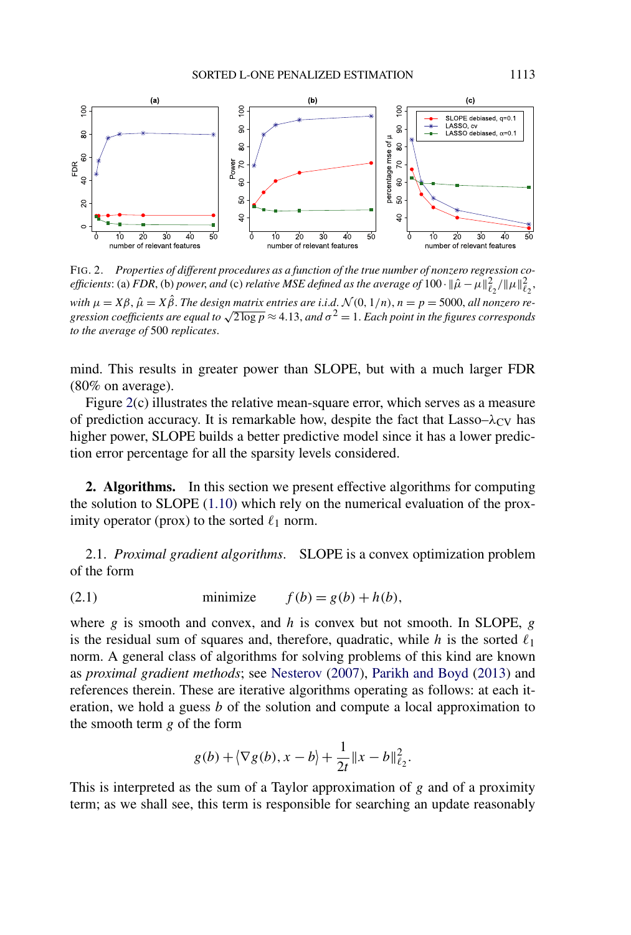<span id="page-10-0"></span>

FIG. 2. *Properties of different procedures as a function of the true number of nonzero regression coefficients*: (a) *FDR*, (b) *power, and* (c) *relative MSE defined as the average of*  $100 \cdot \|\hat{\mu} - \mu\|_{\ell_2}^2 / \|\mu\|_{\ell_2}^2$ , *with*  $\mu = X\beta$ ,  $\hat{\mu} = X\hat{\beta}$ . *The design matrix entries are i.i.d.*  $\mathcal{N}(0, 1/n)$ ,  $n = p = 5000$ , *all nonzero regression coefficients are equal to*  $\sqrt{2 \log p} \approx 4.13$ , *and*  $\sigma^2 = 1$ . *Each point in the figures corresponds to the average of* 500 *replicates*.

mind. This results in greater power than SLOPE, but with a much larger FDR  $(80\% \text{ on average})$ .

Figure 2(c) illustrates the relative mean-square error, which serves as a measure of prediction accuracy. It is remarkable how, despite the fact that  $Lasso-\lambda_{CV}$  has higher power, SLOPE builds a better predictive model since it has a lower prediction error percentage for all the sparsity levels considered.

**2. Algorithms.** In this section we present effective algorithms for computing the solution to SLOPE [\(1.10\)](#page-6-0) which rely on the numerical evaluation of the proximity operator (prox) to the sorted  $\ell_1$  norm.

2.1. *Proximal gradient algorithms*. SLOPE is a convex optimization problem of the form

(2.1) minimize 
$$
f(b) = g(b) + h(b)
$$
,

where *g* is smooth and convex, and *h* is convex but not smooth. In SLOPE, *g* is the residual sum of squares and, therefore, quadratic, while  $h$  is the sorted  $\ell_1$ norm. A general class of algorithms for solving problems of this kind are known as *proximal gradient methods*; see [Nesterov](#page-36-0) [\(2007\)](#page-36-0), [Parikh and Boyd](#page-36-0) [\(2013\)](#page-36-0) and references therein. These are iterative algorithms operating as follows: at each iteration, we hold a guess *b* of the solution and compute a local approximation to the smooth term *g* of the form

$$
g(b) + \langle \nabla g(b), x - b \rangle + \frac{1}{2t} ||x - b||_{\ell_2}^2.
$$

This is interpreted as the sum of a Taylor approximation of *g* and of a proximity term; as we shall see, this term is responsible for searching an update reasonably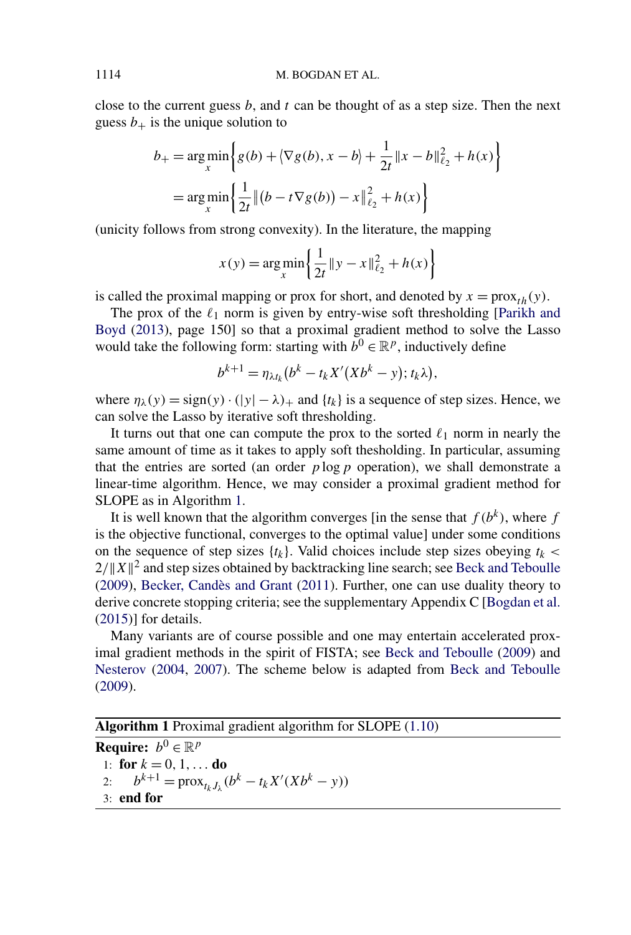<span id="page-11-0"></span>close to the current guess *b*, and *t* can be thought of as a step size. Then the next guess  $b_{+}$  is the unique solution to

$$
b_{+} = \underset{x}{\arg\min} \left\{ g(b) + \langle \nabla g(b), x - b \rangle + \frac{1}{2t} ||x - b||_{\ell_{2}}^{2} + h(x) \right\}
$$

$$
= \underset{x}{\arg\min} \left\{ \frac{1}{2t} ||(b - t \nabla g(b)) - x||_{\ell_{2}}^{2} + h(x) \right\}
$$

(unicity follows from strong convexity). In the literature, the mapping

$$
x(y) = \arg\min_{x} \left\{ \frac{1}{2t} ||y - x||_{\ell_2}^2 + h(x) \right\}
$$

is called the proximal mapping or prox for short, and denoted by  $x = prox_{th}(y)$ .

The prox of the  $\ell_1$  norm is given by entry-wise soft thresholding [\[Parikh and](#page-36-0) [Boyd](#page-36-0) [\(2013\)](#page-36-0), page 150] so that a proximal gradient method to solve the Lasso would take the following form: starting with  $b^0 \in \mathbb{R}^p$ , inductively define

$$
b^{k+1} = \eta_{\lambda t_k} (b^k - t_k X'(Xb^k - y); t_k \lambda),
$$

where  $\eta_{\lambda}(y) = \text{sign}(y) \cdot (|y| - \lambda)_{+}$  and  $\{t_k\}$  is a sequence of step sizes. Hence, we can solve the Lasso by iterative soft thresholding.

It turns out that one can compute the prox to the sorted  $\ell_1$  norm in nearly the same amount of time as it takes to apply soft thesholding. In particular, assuming that the entries are sorted (an order  $p \log p$  operation), we shall demonstrate a linear-time algorithm. Hence, we may consider a proximal gradient method for SLOPE as in Algorithm 1.

It is well known that the algorithm converges [in the sense that  $f(b^k)$ , where  $f$ is the objective functional, converges to the optimal value] under some conditions on the sequence of step sizes  $\{t_k\}$ . Valid choices include step sizes obeying  $t_k <$  $2/\Vert X \Vert^2$  and step sizes obtained by backtracking line search; see [Beck and Teboulle](#page-35-0) [\(2009\)](#page-35-0), [Becker, Candès and Grant](#page-35-0) [\(2011\)](#page-35-0). Further, one can use duality theory to derive concrete stopping criteria; see the supplementary Appendix C [\[Bogdan et al.](#page-35-0) [\(2015\)](#page-35-0)] for details.

Many variants are of course possible and one may entertain accelerated proximal gradient methods in the spirit of FISTA; see [Beck and Teboulle](#page-35-0) [\(2009\)](#page-35-0) and [Nesterov](#page-36-0) [\(2004,](#page-36-0) [2007\)](#page-36-0). The scheme below is adapted from [Beck and Teboulle](#page-35-0) [\(2009\)](#page-35-0).

# **Algorithm 1** Proximal gradient algorithm for SLOPE [\(1.10\)](#page-6-0)

**Require:**  $b^0 \in \mathbb{R}^p$ 1: **for**  $k = 0, 1, ...$  **do** 2:  $b^{k+1} = \text{prox}_{t_k J_\lambda}(b^k - t_k X'(Xb^k - y))$ 3: **end for**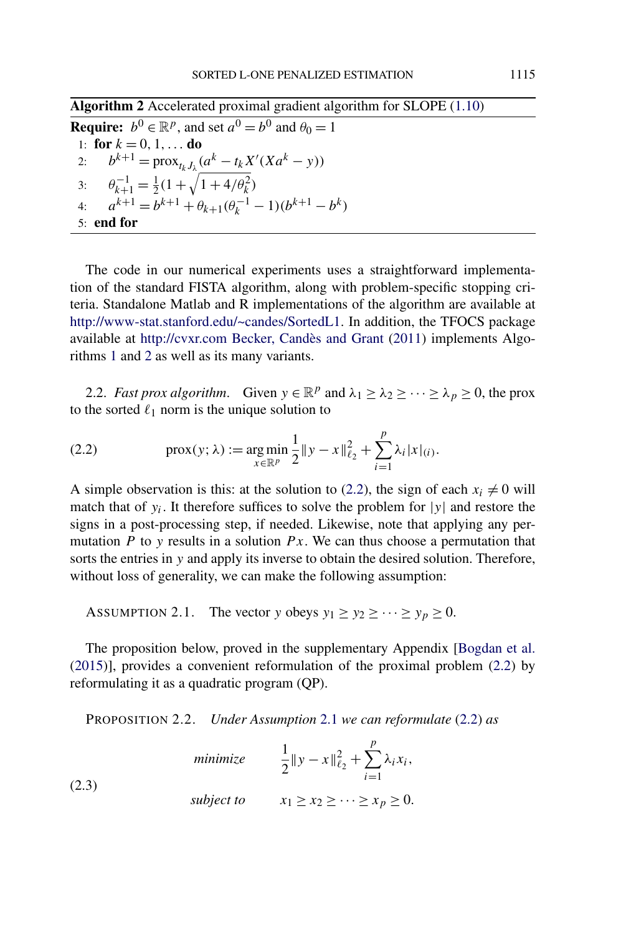<span id="page-12-0"></span>**Algorithm 2** Accelerated proximal gradient algorithm for SLOPE [\(1.10\)](#page-6-0)

**Require:**  $b^0 \in \mathbb{R}^p$ , and set  $a^0 = b^0$  and  $\theta_0 = 1$ 1: **for**  $k = 0, 1, ...$  **do** 2:  $b^{k+1} = \text{prox}_{t_k J_\lambda}(a^k - t_k X'(Xa^k - y))$ 3:  $\theta_{k+1}^{-1} = \frac{1}{2} (1 + \sqrt{1 + 4/\theta_k^2})$ 4:  $a^{k+1} = b^{k+1} + \theta_{k+1}(\theta_k^{-1} - 1)(b^{k+1} - b^k)$ 5: **end for**

The code in our numerical experiments uses a straightforward implementation of the standard FISTA algorithm, along with problem-specific stopping criteria. Standalone Matlab and R implementations of the algorithm are available at [http://www-stat.stanford.edu/~candes/SortedL1.](http://www-stat.stanford.edu/~candes/SortedL1) In addition, the TFOCS package available at <http://cvxr.com> [Becker, Candès and Grant](#page-35-0) [\(2011\)](#page-35-0) implements Algorithms [1](#page-11-0) and 2 as well as its many variants.

2.2. *Fast prox algorithm*. Given  $y \in \mathbb{R}^p$  and  $\lambda_1 \geq \lambda_2 \geq \cdots \geq \lambda_p \geq 0$ , the prox to the sorted  $\ell_1$  norm is the unique solution to

(2.2) 
$$
\text{prox}(y; \lambda) := \underset{x \in \mathbb{R}^p}{\text{arg min}} \frac{1}{2} \|y - x\|_{\ell_2}^2 + \sum_{i=1}^p \lambda_i |x|_{(i)}.
$$

A simple observation is this: at the solution to (2.2), the sign of each  $x_i \neq 0$  will match that of  $y_i$ . It therefore suffices to solve the problem for  $|y|$  and restore the signs in a post-processing step, if needed. Likewise, note that applying any permutation *P* to *y* results in a solution *Px*. We can thus choose a permutation that sorts the entries in *y* and apply its inverse to obtain the desired solution. Therefore, without loss of generality, we can make the following assumption:

ASSUMPTION 2.1. The vector *y* obeys  $y_1 \ge y_2 \ge \cdots \ge y_p \ge 0$ .

The proposition below, proved in the supplementary Appendix [\[Bogdan et al.](#page-35-0) [\(2015\)](#page-35-0)], provides a convenient reformulation of the proximal problem (2.2) by reformulating it as a quadratic program (QP).

PROPOSITION 2.2. *Under Assumption* 2.1 *we can reformulate* (2.2) *as*

(2.3)

\n
$$
\text{minimize} \qquad \frac{1}{2} \|y - x\|_{\ell_2}^2 + \sum_{i=1}^p \lambda_i x_i,
$$
\n
$$
\text{subject to} \qquad x_1 \ge x_2 \ge \dots \ge x_p \ge 0.
$$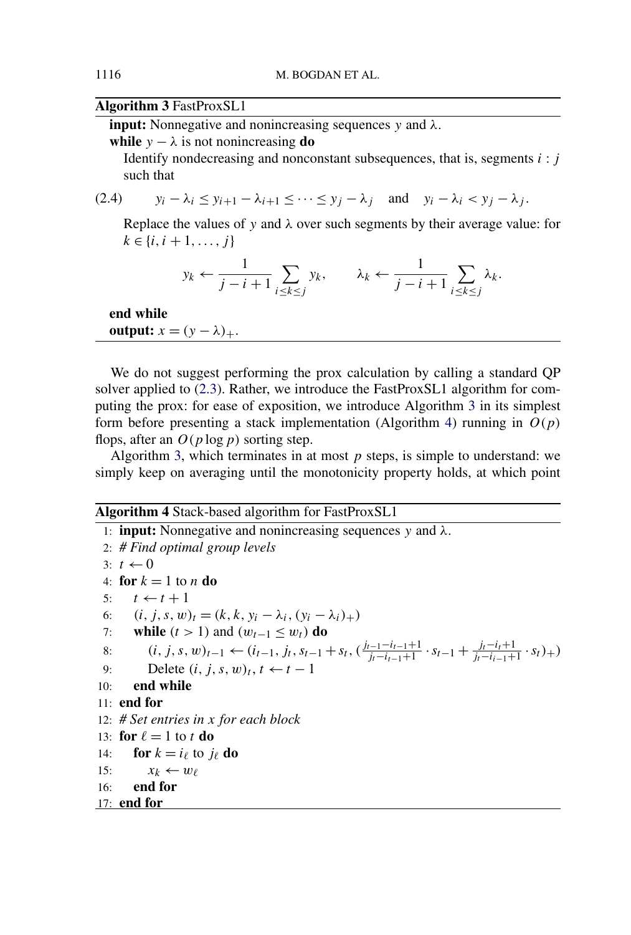### <span id="page-13-0"></span>**Algorithm 3** FastProxSL1

**input:** Nonnegative and nonincreasing sequences *y* and *λ*.

**while**  $y - \lambda$  is not nonincreasing **do** 

Identify nondecreasing and nonconstant subsequences, that is, segments *i* : *j* such that

$$
(2.4) \t y_i - \lambda_i \le y_{i+1} - \lambda_{i+1} \le \cdots \le y_j - \lambda_j \quad \text{and} \quad y_i - \lambda_i < y_j - \lambda_j.
$$

Replace the values of *y* and  $\lambda$  over such segments by their average value: for  $k \in \{i, i + 1, \ldots, j\}$ 

$$
y_k \leftarrow \frac{1}{j-i+1} \sum_{i \leq k \leq j} y_k, \qquad \lambda_k \leftarrow \frac{1}{j-i+1} \sum_{i \leq k \leq j} \lambda_k.
$$

**end while output:**  $x = (y - \lambda)_+$ .

We do not suggest performing the prox calculation by calling a standard OP solver applied to [\(2.3\)](#page-12-0). Rather, we introduce the FastProxSL1 algorithm for computing the prox: for ease of exposition, we introduce Algorithm 3 in its simplest form before presenting a stack implementation (Algorithm 4) running in  $O(p)$ flops, after an  $O(p \log p)$  sorting step.

Algorithm 3, which terminates in at most  $p$  steps, is simple to understand: we simply keep on averaging until the monotonicity property holds, at which point

#### **Algorithm 4** Stack-based algorithm for FastProxSL1

```
1: input: Nonnegative and nonincreasing sequences y and λ.
 2: # Find optimal group levels
 3: t \leftarrow 04: for k = 1 to n do
 5: t \leftarrow t + 16: (i, j, s, w)_t = (k, k, y_i - \lambda_i, (y_i - \lambda_i)_+)7: while (t > 1) and (w_{t-1} \leq w_t) do
 8: (i, j, s, w)_{t-1} ← (i_{t-1}, j_t, s_{t-1} + s_t, (\frac{j_{t-1}-i_{t-1}+1}{j_t-i_{t-1}+1} \cdot s_{t-1} + \frac{j_t-i_t+1}{j_t-i_{t-1}+1} \cdot s_t) + )
 9: Delete (i, j, s, w)<sub>t</sub>, t \leftarrow t - 110: end while
11: end for
12: # Set entries in x for each block
13: for \ell = 1 to t do
14: for k = i_\ell to j_\ell do
15: x_k \leftarrow w_\ell16: end for
17: end for
```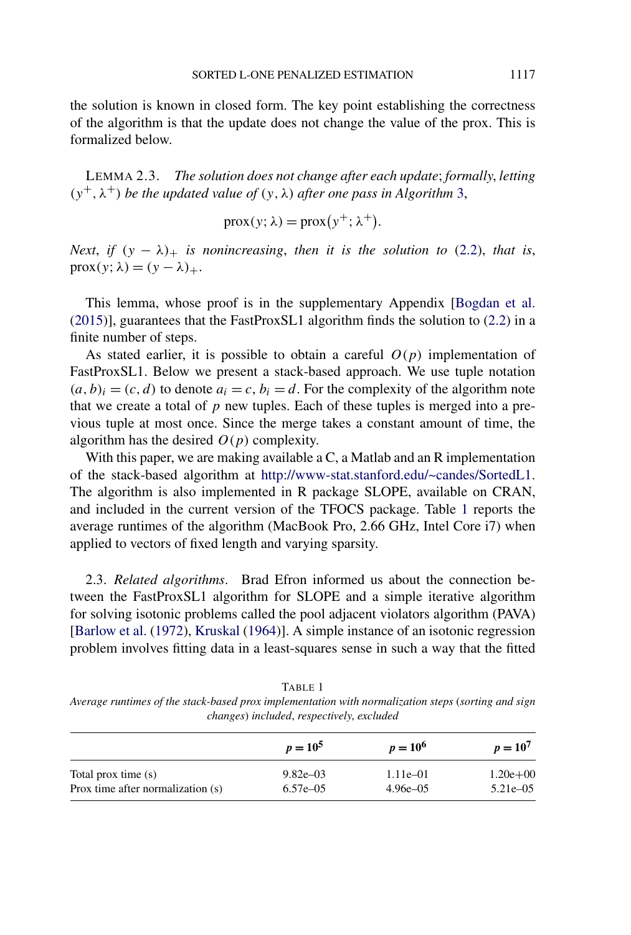the solution is known in closed form. The key point establishing the correctness of the algorithm is that the update does not change the value of the prox. This is formalized below.

LEMMA 2.3. *The solution does not change after each update*; *formally*, *letting*  $(y^+, \lambda^+)$  *be the updated value of*  $(y, \lambda)$  *after one pass in Algorithm* [3,](#page-13-0)

$$
prox(y; \lambda) = prox(y^+; \lambda^+).
$$

*Next*, *if*  $(y - \lambda)_+$  *is nonincreasing*, *then it is the solution to* [\(2.2\)](#page-12-0), *that is*,  $prox(y; \lambda) = (y - \lambda)_+.$ 

This lemma, whose proof is in the supplementary Appendix [\[Bogdan et al.](#page-35-0) [\(2015\)](#page-35-0)], guarantees that the FastProxSL1 algorithm finds the solution to [\(2.2\)](#page-12-0) in a finite number of steps.

As stated earlier, it is possible to obtain a careful  $O(p)$  implementation of FastProxSL1. Below we present a stack-based approach. We use tuple notation  $(a, b)_i = (c, d)$  to denote  $a_i = c, b_i = d$ . For the complexity of the algorithm note that we create a total of *p* new tuples. Each of these tuples is merged into a previous tuple at most once. Since the merge takes a constant amount of time, the algorithm has the desired  $O(p)$  complexity.

With this paper, we are making available a C, a Matlab and an R implementation of the stack-based algorithm at [http://www-stat.stanford.edu/~candes/SortedL1.](http://www-stat.stanford.edu/~candes/SortedL1) The algorithm is also implemented in R package SLOPE, available on CRAN, and included in the current version of the TFOCS package. Table 1 reports the average runtimes of the algorithm (MacBook Pro, 2.66 GHz, Intel Core i7) when applied to vectors of fixed length and varying sparsity.

2.3. *Related algorithms*. Brad Efron informed us about the connection between the FastProxSL1 algorithm for SLOPE and a simple iterative algorithm for solving isotonic problems called the pool adjacent violators algorithm (PAVA) [\[Barlow et al.](#page-35-0) [\(1972\)](#page-35-0), [Kruskal](#page-36-0) [\(1964\)](#page-36-0)]. A simple instance of an isotonic regression problem involves fitting data in a least-squares sense in such a way that the fitted

TABLE 1 *Average runtimes of the stack-based prox implementation with normalization steps* (*sorting and sign changes*) *included*, *respectively*, *excluded*

|                                   | $p = 10^5$    | $p = 10^6$   | $p=10'$       |
|-----------------------------------|---------------|--------------|---------------|
| Total prox time (s)               | $9.82e - 03$  | $1.11e-01$   | $1.20e + 00$  |
| Prox time after normalization (s) | $6.57e - 0.5$ | $4.96e - 05$ | $5.21e - 0.5$ |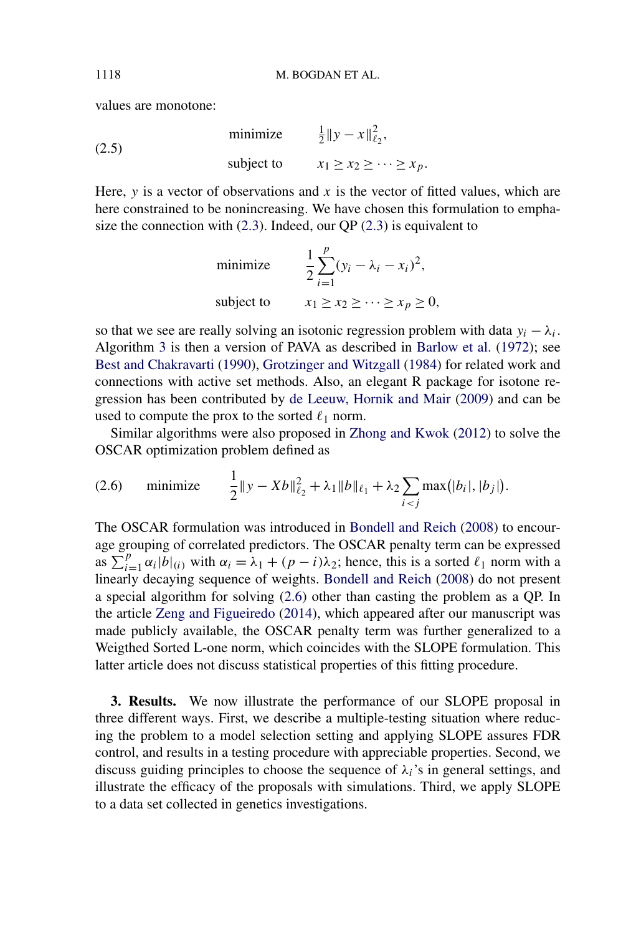values are monotone:

(2.5)

\nminimize 
$$
\frac{1}{2} \|y - x\|_{\ell_2}^2,
$$

\nsubject to 
$$
x_1 \ge x_2 \ge \cdots \ge x_p.
$$

Here,  $y$  is a vector of observations and  $x$  is the vector of fitted values, which are here constrained to be nonincreasing. We have chosen this formulation to emphasize the connection with  $(2.3)$ . Indeed, our QP  $(2.3)$  is equivalent to

minimize 
$$
\frac{1}{2} \sum_{i=1}^{p} (y_i - \lambda_i - x_i)^2,
$$
  
subject to 
$$
x_1 \ge x_2 \ge \cdots \ge x_p \ge 0,
$$

so that we see are really solving an isotonic regression problem with data  $y_i - \lambda_i$ . Algorithm [3](#page-13-0) is then a version of PAVA as described in [Barlow et al.](#page-35-0) [\(1972\)](#page-35-0); see [Best and Chakravarti](#page-35-0) [\(1990\)](#page-35-0), [Grotzinger and Witzgall](#page-36-0) [\(1984\)](#page-36-0) for related work and connections with active set methods. Also, an elegant R package for isotone regression has been contributed by [de Leeuw, Hornik and Mair](#page-35-0) [\(2009\)](#page-35-0) and can be used to compute the prox to the sorted  $\ell_1$  norm.

Similar algorithms were also proposed in [Zhong and Kwok](#page-37-0) [\(2012\)](#page-37-0) to solve the OSCAR optimization problem defined as

(2.6) minimize 
$$
\frac{1}{2} \|y - Xb\|_{\ell_2}^2 + \lambda_1 \|b\|_{\ell_1} + \lambda_2 \sum_{i < j} \max(|b_i|, |b_j|).
$$

The OSCAR formulation was introduced in [Bondell and Reich](#page-35-0) [\(2008\)](#page-35-0) to encourage grouping of correlated predictors. The OSCAR penalty term can be expressed as  $\sum_{i=1}^{p} \alpha_i |b|_{(i)}$  with  $\alpha_i = \lambda_1 + (p - i)\lambda_2$ ; hence, this is a sorted  $\ell_1$  norm with a linearly decaying sequence of weights. [Bondell and Reich](#page-35-0) [\(2008\)](#page-35-0) do not present a special algorithm for solving (2.6) other than casting the problem as a QP. In the article [Zeng and Figueiredo](#page-37-0) [\(2014\)](#page-37-0), which appeared after our manuscript was made publicly available, the OSCAR penalty term was further generalized to a Weigthed Sorted L-one norm, which coincides with the SLOPE formulation. This latter article does not discuss statistical properties of this fitting procedure.

**3. Results.** We now illustrate the performance of our SLOPE proposal in three different ways. First, we describe a multiple-testing situation where reducing the problem to a model selection setting and applying SLOPE assures FDR control, and results in a testing procedure with appreciable properties. Second, we discuss guiding principles to choose the sequence of  $\lambda_i$ 's in general settings, and illustrate the efficacy of the proposals with simulations. Third, we apply SLOPE to a data set collected in genetics investigations.

<span id="page-15-0"></span>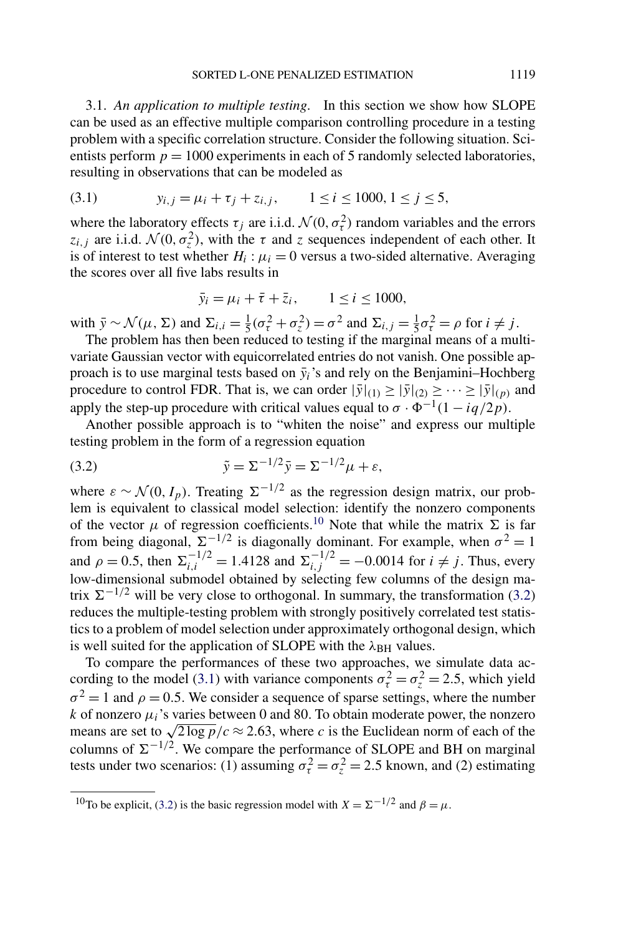<span id="page-16-0"></span>3.1. *An application to multiple testing*. In this section we show how SLOPE can be used as an effective multiple comparison controlling procedure in a testing problem with a specific correlation structure. Consider the following situation. Scientists perform  $p = 1000$  experiments in each of 5 randomly selected laboratories, resulting in observations that can be modeled as

(3.1) 
$$
y_{i,j} = \mu_i + \tau_j + z_{i,j}, \qquad 1 \le i \le 1000, 1 \le j \le 5,
$$

where the laboratory effects  $\tau_j$  are i.i.d.  $\mathcal{N}(0, \sigma_\tau^2)$  random variables and the errors *z<sub>i,j</sub>* are i.i.d.  $\mathcal{N}(0, \sigma_z^2)$ , with the *τ* and *z* sequences independent of each other. It is of interest to test whether  $H_i$ :  $\mu_i = 0$  versus a two-sided alternative. Averaging the scores over all five labs results in

$$
\bar{y}_i = \mu_i + \bar{\tau} + \bar{z}_i, \qquad 1 \le i \le 1000,
$$

with  $\bar{y} \sim \mathcal{N}(\mu, \Sigma)$  and  $\Sigma_{i,i} = \frac{1}{5}(\sigma_{\tau}^2 + \sigma_{z}^2) = \sigma^2$  and  $\Sigma_{i,j} = \frac{1}{5}\sigma_{\tau}^2 = \rho$  for  $i \neq j$ .

The problem has then been reduced to testing if the marginal means of a multivariate Gaussian vector with equicorrelated entries do not vanish. One possible approach is to use marginal tests based on  $\bar{y}_i$ 's and rely on the Benjamini–Hochberg procedure to control FDR. That is, we can order  $|\bar{y}|_{(1)} \geq |\bar{y}|_{(2)} \geq \cdots \geq |\bar{y}|_{(p)}$  and apply the step-up procedure with critical values equal to  $\sigma \cdot \Phi^{-1}(1 - iq/2p)$ .

Another possible approach is to "whiten the noise" and express our multiple testing problem in the form of a regression equation

(3.2) 
$$
\tilde{y} = \Sigma^{-1/2} \bar{y} = \Sigma^{-1/2} \mu + \varepsilon,
$$

where  $\varepsilon \sim \mathcal{N}(0, I_p)$ . Treating  $\Sigma^{-1/2}$  as the regression design matrix, our problem is equivalent to classical model selection: identify the nonzero components of the vector  $\mu$  of regression coefficients.<sup>10</sup> Note that while the matrix  $\sum$  is far from being diagonal,  $\Sigma^{-1/2}$  is diagonally dominant. For example, when  $\sigma^2 = 1$ and  $\rho = 0.5$ , then  $\Sigma_{i,i}^{-1/2} = 1.4128$  and  $\Sigma_{i,j}^{-1/2} = -0.0014$  for  $i \neq j$ . Thus, every low-dimensional submodel obtained by selecting few columns of the design matrix  $\Sigma^{-1/2}$  will be very close to orthogonal. In summary, the transformation (3.2) reduces the multiple-testing problem with strongly positively correlated test statistics to a problem of model selection under approximately orthogonal design, which is well suited for the application of SLOPE with the  $\lambda_{\text{BH}}$  values.

To compare the performances of these two approaches, we simulate data according to the model (3.1) with variance components  $\sigma_{\tau}^2 = \sigma_{z}^2 = 2.5$ , which yield  $\sigma^2 = 1$  and  $\rho = 0.5$ . We consider a sequence of sparse settings, where the number *k* of nonzero  $\mu_i$ 's varies between 0 and 80. To obtain moderate power, the nonzero means are set to  $\sqrt{2 \log p}/c \approx 2.63$ , where *c* is the Euclidean norm of each of the columns of <sup>−</sup>1*/*2. We compare the performance of SLOPE and BH on marginal tests under two scenarios: (1) assuming  $\sigma_{\tau}^2 = \sigma_{z}^2 = 2.5$  known, and (2) estimating

<sup>&</sup>lt;sup>10</sup>To be explicit, (3.2) is the basic regression model with  $X = \Sigma^{-1/2}$  and  $\beta = \mu$ .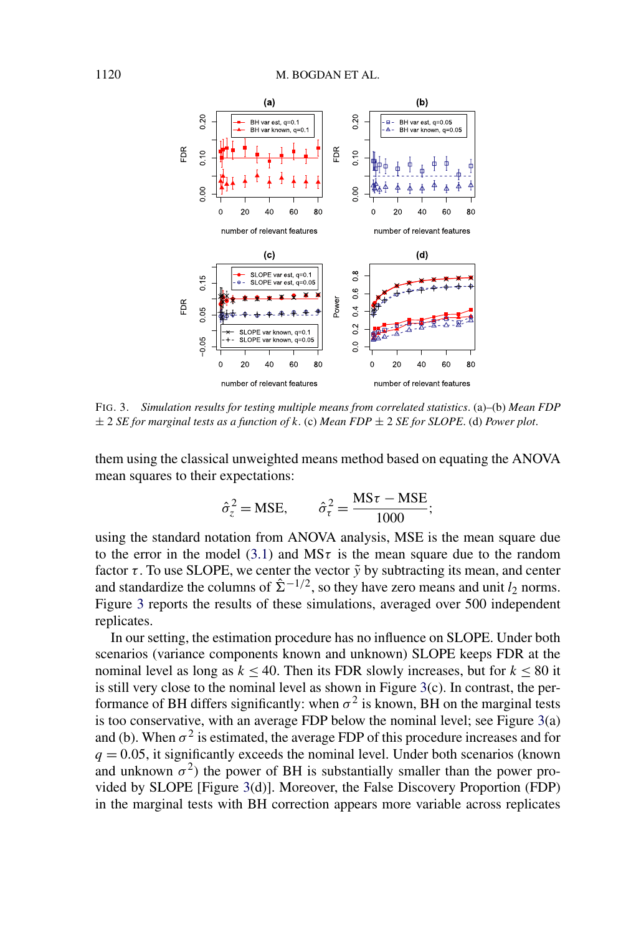<span id="page-17-0"></span>

FIG. 3. *Simulation results for testing multiple means from correlated statistics*. (a)–(b) *Mean FDP* ± 2 *SE for marginal tests as a function of k*. (c) *Mean FDP* ± 2 *SE for SLOPE*. (d) *Power plot*.

them using the classical unweighted means method based on equating the ANOVA mean squares to their expectations:

$$
\hat{\sigma}_z^2 = \text{MSE}, \qquad \hat{\sigma}_\tau^2 = \frac{\text{MS}\tau - \text{MSE}}{1000};
$$

using the standard notation from ANOVA analysis, MSE is the mean square due to the error in the model [\(3.1\)](#page-16-0) and  $MST$  is the mean square due to the random factor  $\tau$ . To use SLOPE, we center the vector  $\tilde{y}$  by subtracting its mean, and center and standardize the columns of  $\hat{\Sigma}^{-1/2}$ , so they have zero means and unit *l*<sub>2</sub> norms. Figure 3 reports the results of these simulations, averaged over 500 independent replicates.

In our setting, the estimation procedure has no influence on SLOPE. Under both scenarios (variance components known and unknown) SLOPE keeps FDR at the nominal level as long as  $k \leq 40$ . Then its FDR slowly increases, but for  $k \leq 80$  it is still very close to the nominal level as shown in Figure  $3(c)$ . In contrast, the performance of BH differs significantly: when  $\sigma^2$  is known, BH on the marginal tests is too conservative, with an average FDP below the nominal level; see Figure  $3(a)$ and (b). When  $\sigma^2$  is estimated, the average FDP of this procedure increases and for  $q = 0.05$ , it significantly exceeds the nominal level. Under both scenarios (known and unknown  $\sigma^2$ ) the power of BH is substantially smaller than the power provided by SLOPE [Figure 3(d)]. Moreover, the False Discovery Proportion (FDP) in the marginal tests with BH correction appears more variable across replicates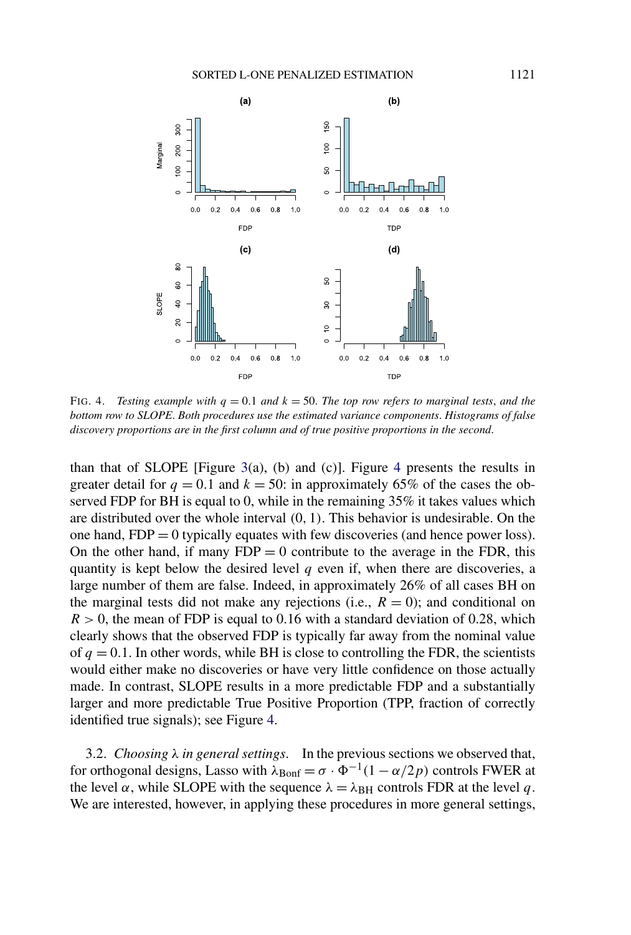

FIG. 4. *Testing example with*  $q = 0.1$  *and*  $k = 50$ . *The top row refers to marginal tests, and the bottom row to SLOPE*. *Both procedures use the estimated variance components*. *Histograms of false discovery proportions are in the first column and of true positive proportions in the second*.

than that of SLOPE [Figure [3\(](#page-17-0)a), (b) and (c)]. Figure 4 presents the results in greater detail for  $q = 0.1$  and  $k = 50$ : in approximately 65% of the cases the observed FDP for BH is equal to 0, while in the remaining 35% it takes values which are distributed over the whole interval *(*0*,* 1*)*. This behavior is undesirable. On the one hand,  $FDP = 0$  typically equates with few discoveries (and hence power loss). On the other hand, if many  $FDP = 0$  contribute to the average in the FDR, this quantity is kept below the desired level  $q$  even if, when there are discoveries, a large number of them are false. Indeed, in approximately 26% of all cases BH on the marginal tests did not make any rejections (i.e.,  $R = 0$ ); and conditional on  $R > 0$ , the mean of FDP is equal to 0.16 with a standard deviation of 0.28, which clearly shows that the observed FDP is typically far away from the nominal value of  $q = 0.1$ . In other words, while BH is close to controlling the FDR, the scientists would either make no discoveries or have very little confidence on those actually made. In contrast, SLOPE results in a more predictable FDP and a substantially larger and more predictable True Positive Proportion (TPP, fraction of correctly identified true signals); see Figure 4.

3.2. *Choosing λ in general settings*. In the previous sections we observed that, for orthogonal designs, Lasso with  $\lambda_{\text{Bonf}} = \sigma \cdot \Phi^{-1}(1 - \alpha/2p)$  controls FWER at the level  $\alpha$ , while SLOPE with the sequence  $\lambda = \lambda_{\text{BH}}$  controls FDR at the level q. We are interested, however, in applying these procedures in more general settings,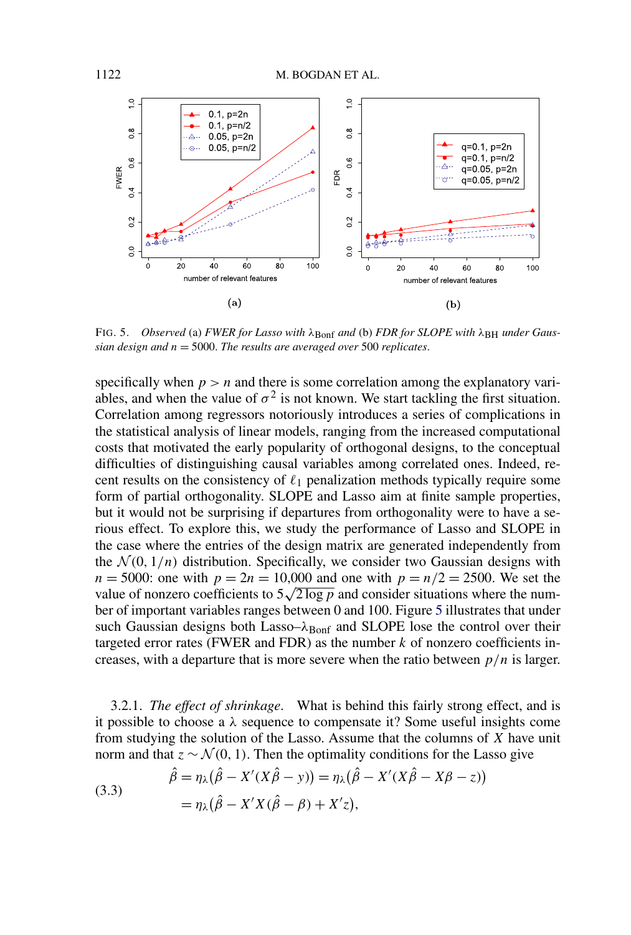<span id="page-19-0"></span>

FIG. 5. *Observed* (a) *FWER for Lasso with λ*Bonf *and* (b) *FDR for SLOPE with λ*BH *under Gaussian design and n* = 5000. *The results are averaged over* 500 *replicates*.

specifically when  $p > n$  and there is some correlation among the explanatory variables, and when the value of  $\sigma^2$  is not known. We start tackling the first situation. Correlation among regressors notoriously introduces a series of complications in the statistical analysis of linear models, ranging from the increased computational costs that motivated the early popularity of orthogonal designs, to the conceptual difficulties of distinguishing causal variables among correlated ones. Indeed, recent results on the consistency of  $\ell_1$  penalization methods typically require some form of partial orthogonality. SLOPE and Lasso aim at finite sample properties, but it would not be surprising if departures from orthogonality were to have a serious effect. To explore this, we study the performance of Lasso and SLOPE in the case where the entries of the design matrix are generated independently from the  $\mathcal{N}(0, 1/n)$  distribution. Specifically, we consider two Gaussian designs with *n* = 5000: one with  $p = 2n = 10,000$  and one with  $p = n/2 = 2500$ . We set the value of nonzero coefficients to  $5\sqrt{2 \log p}$  and consider situations where the number of important variables ranges between 0 and 100. Figure 5 illustrates that under such Gaussian designs both Lasso– $\lambda_{\text{Bonf}}$  and SLOPE lose the control over their targeted error rates (FWER and FDR) as the number *k* of nonzero coefficients increases, with a departure that is more severe when the ratio between *p/n* is larger.

3.2.1. *The effect of shrinkage*. What is behind this fairly strong effect, and is it possible to choose a *λ* sequence to compensate it? Some useful insights come from studying the solution of the Lasso. Assume that the columns of *X* have unit norm and that  $z \sim \mathcal{N}(0, 1)$ . Then the optimality conditions for the Lasso give

(3.3) 
$$
\hat{\beta} = \eta_{\lambda} (\hat{\beta} - X'(X\hat{\beta} - y)) = \eta_{\lambda} (\hat{\beta} - X'(X\hat{\beta} - X\beta - z))
$$

$$
= \eta_{\lambda} (\hat{\beta} - X'X(\hat{\beta} - \beta) + X'z),
$$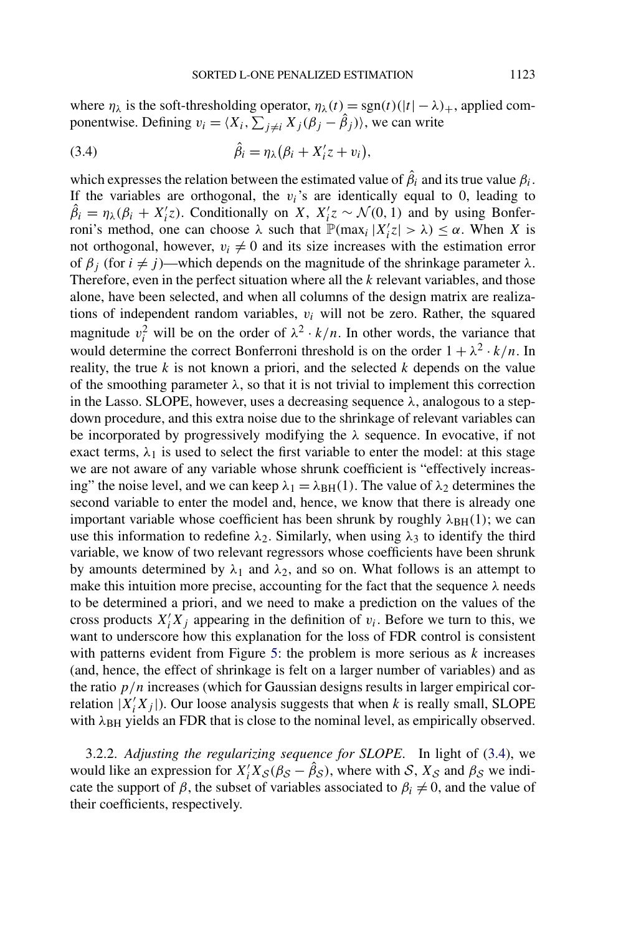<span id="page-20-0"></span>where  $\eta_{\lambda}$  is the soft-thresholding operator,  $\eta_{\lambda}(t) = \text{sgn}(t)(|t| - \lambda)_{+}$ , applied componentwise. Defining  $v_i = \langle X_i, \sum_{j \neq i} X_j(\beta_j - \hat{\beta}_j) \rangle$ , we can write

$$
\hat{\beta}_i = \eta_\lambda (\beta_i + X_i' z + v_i),
$$

which expresses the relation between the estimated value of  $\hat{\beta}_i$  and its true value  $\beta_i$ . If the variables are orthogonal, the  $v_i$ 's are identically equal to 0, leading to  $\hat{\beta}_i = \eta_\lambda(\beta_i + X'_i z)$ . Conditionally on *X*,  $X'_i z \sim \mathcal{N}(0, 1)$  and by using Bonferroni's method, one can choose  $\lambda$  such that  $\mathbb{P}(\max_i |X_i| > \lambda) \leq \alpha$ . When *X* is not orthogonal, however,  $v_i \neq 0$  and its size increases with the estimation error of *β<sub>j</sub>* (for *i*  $\neq$  *j*)—which depends on the magnitude of the shrinkage parameter  $λ$ . Therefore, even in the perfect situation where all the *k* relevant variables, and those alone, have been selected, and when all columns of the design matrix are realizations of independent random variables,  $v_i$  will not be zero. Rather, the squared magnitude  $v_i^2$  will be on the order of  $\lambda^2 \cdot k/n$ . In other words, the variance that would determine the correct Bonferroni threshold is on the order  $1 + \lambda^2 \cdot k/n$ . In reality, the true *k* is not known a priori, and the selected *k* depends on the value of the smoothing parameter  $\lambda$ , so that it is not trivial to implement this correction in the Lasso. SLOPE, however, uses a decreasing sequence *λ*, analogous to a stepdown procedure, and this extra noise due to the shrinkage of relevant variables can be incorporated by progressively modifying the *λ* sequence. In evocative, if not exact terms,  $\lambda_1$  is used to select the first variable to enter the model: at this stage we are not aware of any variable whose shrunk coefficient is "effectively increasing" the noise level, and we can keep  $\lambda_1 = \lambda_{\text{BH}}(1)$ . The value of  $\lambda_2$  determines the second variable to enter the model and, hence, we know that there is already one important variable whose coefficient has been shrunk by roughly  $\lambda_{\text{BH}}(1)$ ; we can use this information to redefine  $\lambda_2$ . Similarly, when using  $\lambda_3$  to identify the third variable, we know of two relevant regressors whose coefficients have been shrunk by amounts determined by  $\lambda_1$  and  $\lambda_2$ , and so on. What follows is an attempt to make this intuition more precise, accounting for the fact that the sequence  $\lambda$  needs to be determined a priori, and we need to make a prediction on the values of the cross products  $X_i' \overline{X_j}$  appearing in the definition of  $v_i$ . Before we turn to this, we want to underscore how this explanation for the loss of FDR control is consistent with patterns evident from Figure [5:](#page-19-0) the problem is more serious as *k* increases (and, hence, the effect of shrinkage is felt on a larger number of variables) and as the ratio  $p/n$  increases (which for Gaussian designs results in larger empirical correlation  $|X_i'X_j|$ ). Our loose analysis suggests that when *k* is really small, SLOPE with  $\lambda_{\text{BH}}$  yields an FDR that is close to the nominal level, as empirically observed.

3.2.2. *Adjusting the regularizing sequence for SLOPE*. In light of (3.4), we would like an expression for  $X_i'X_S(\beta_S - \hat{\beta}_S)$ , where with S,  $X_S$  and  $\beta_S$  we indicate the support of  $\beta$ , the subset of variables associated to  $\beta_i \neq 0$ , and the value of their coefficients, respectively.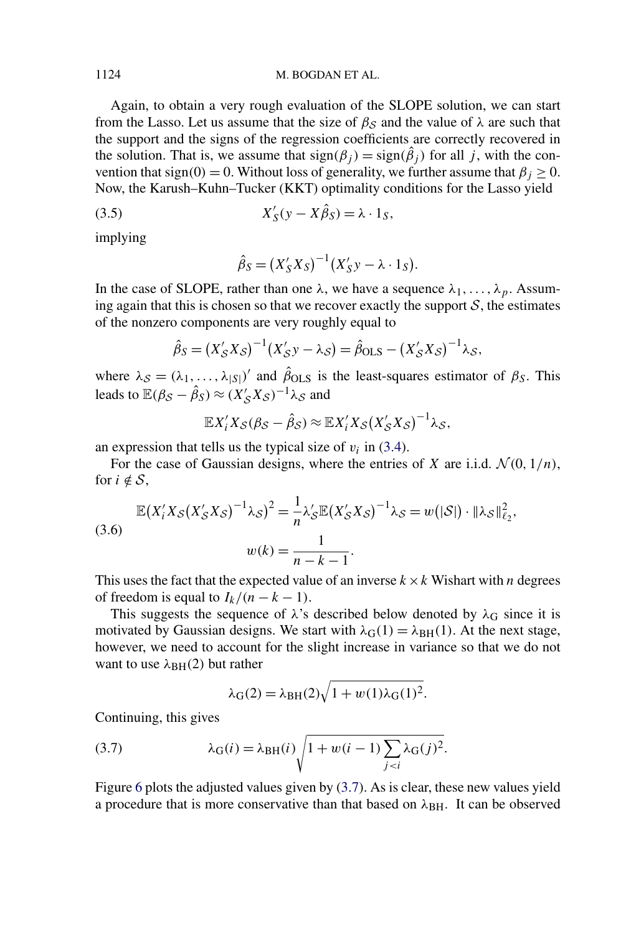#### <span id="page-21-0"></span>1124 M. BOGDAN ET AL.

Again, to obtain a very rough evaluation of the SLOPE solution, we can start from the Lasso. Let us assume that the size of  $\beta_S$  and the value of  $\lambda$  are such that the support and the signs of the regression coefficients are correctly recovered in the solution. That is, we assume that  $sign(\beta_j) = sign(\hat{\beta}_j)$  for all *j*, with the convention that sign(0) = 0. Without loss of generality, we further assume that  $\beta_j \geq 0$ . Now, the Karush–Kuhn–Tucker (KKT) optimality conditions for the Lasso yield

$$
(3.5) \t\t X'_{S}(y - X\hat{\beta}_{S}) = \lambda \cdot 1_{S},
$$

implying

$$
\hat{\beta}_S = (X'_S X_S)^{-1} (X'_S y - \lambda \cdot 1_S).
$$

In the case of SLOPE, rather than one  $\lambda$ , we have a sequence  $\lambda_1, \ldots, \lambda_p$ . Assuming again that this is chosen so that we recover exactly the support  $S$ , the estimates of the nonzero components are very roughly equal to

$$
\hat{\beta}_S = (X'_S X_S)^{-1} (X'_S y - \lambda_S) = \hat{\beta}_{OLS} - (X'_S X_S)^{-1} \lambda_S,
$$

where  $\lambda_S = (\lambda_1, ..., \lambda_{|S|})'$  and  $\hat{\beta}_{OLS}$  is the least-squares estimator of  $\beta_S$ . This leads to  $\mathbb{E}(\beta_{\mathcal{S}} - \hat{\beta}_{\mathcal{S}}) \approx (X'_{\mathcal{S}} X_{\mathcal{S}})^{-1} \lambda_{\mathcal{S}}$  and

$$
\mathbb{E}X_i'X_{\mathcal{S}}(\beta_{\mathcal{S}}-\hat{\beta}_{\mathcal{S}})\approx \mathbb{E}X_i'X_{\mathcal{S}}(X_{\mathcal{S}}'X_{\mathcal{S}})^{-1}\lambda_{\mathcal{S}},
$$

an expression that tells us the typical size of  $v_i$  in [\(3.4\)](#page-20-0).

For the case of Gaussian designs, where the entries of *X* are i.i.d.  $\mathcal{N}(0, 1/n)$ , for  $i \notin \mathcal{S}$ ,

(3.6)  

$$
\mathbb{E}(X'_i X_{\mathcal{S}} (X'_{\mathcal{S}} X_{\mathcal{S}})^{-1} \lambda_{\mathcal{S}})^2 = \frac{1}{n} \lambda'_{\mathcal{S}} \mathbb{E}(X'_{\mathcal{S}} X_{\mathcal{S}})^{-1} \lambda_{\mathcal{S}} = w(|\mathcal{S}|) \cdot \|\lambda_{\mathcal{S}}\|_{\ell_2}^2,
$$

$$
w(k) = \frac{1}{n - k - 1}.
$$

This uses the fact that the expected value of an inverse  $k \times k$  Wishart with *n* degrees of freedom is equal to  $I_k/(n-k-1)$ .

This suggests the sequence of  $\lambda$ 's described below denoted by  $\lambda$ <sub>G</sub> since it is motivated by Gaussian designs. We start with  $\lambda_G(1) = \lambda_{BH}(1)$ . At the next stage, however, we need to account for the slight increase in variance so that we do not want to use  $\lambda_{\text{BH}}(2)$  but rather

$$
\lambda_{\rm G}(2) = \lambda_{\rm BH}(2)\sqrt{1 + w(1)\lambda_{\rm G}(1)^2}.
$$

Continuing, this gives

(3.7) 
$$
\lambda_G(i) = \lambda_{BH}(i) \sqrt{1 + w(i-1) \sum_{j < i} \lambda_G(j)^2}.
$$

Figure [6](#page-22-0) plots the adjusted values given by (3.7). As is clear, these new values yield a procedure that is more conservative than that based on  $\lambda_{BH}$ . It can be observed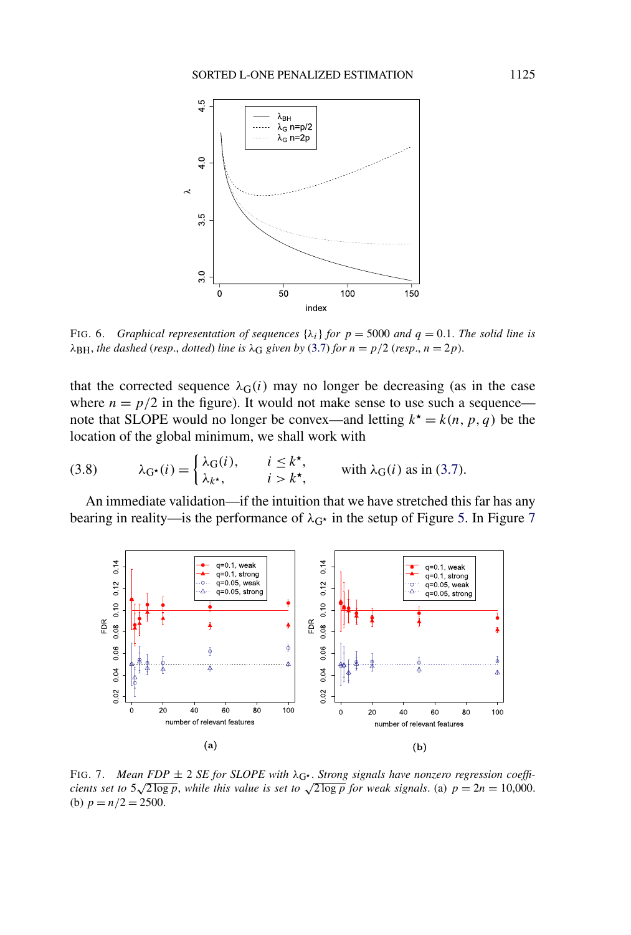<span id="page-22-0"></span>

FIG. 6. *Graphical representation of sequences*  $\{\lambda_i\}$  *for*  $p = 5000$  *and*  $q = 0.1$ *. The solid line is λ*<sub>BH</sub>, *the dashed* (*resp., dotted*) *line is λ*<sub>G</sub> *given by* [\(3.7\)](#page-21-0) *for n* = *p*/2 (*resp., n* = 2*p*).

that the corrected sequence  $\lambda_G(i)$  may no longer be decreasing (as in the case where  $n = p/2$  in the figure). It would not make sense to use such a sequence note that SLOPE would no longer be convex—and letting  $k^* = k(n, p, q)$  be the location of the global minimum, we shall work with

(3.8) 
$$
\lambda_{G^{\star}}(i) = \begin{cases} \lambda_{G}(i), & i \leq k^{\star}, \\ \lambda_{k^{\star}}, & i > k^{\star}, \end{cases} \text{ with } \lambda_{G}(i) \text{ as in (3.7).}
$$

An immediate validation—if the intuition that we have stretched this far has any bearing in reality—is the performance of  $\lambda_{G^*}$  in the setup of Figure [5.](#page-19-0) In Figure 7



FIG. 7. *Mean FDP*  $\pm$  2 *SE for SLOPE with*  $\lambda$ <sub>G\*</sub>. *Strong signals have nonzero regression coefficients set to* **5 √2 log***p*, *while this value is set to* √2 log *p for weak signals*. (a) *p* = 2*n* = 10,000. *cients set to* 5 √2 log *p*, *while this value is set to* √2 log *p for weak signals*. (a) *p* = 2*n* (b)  $p = n/2 = 2500$ .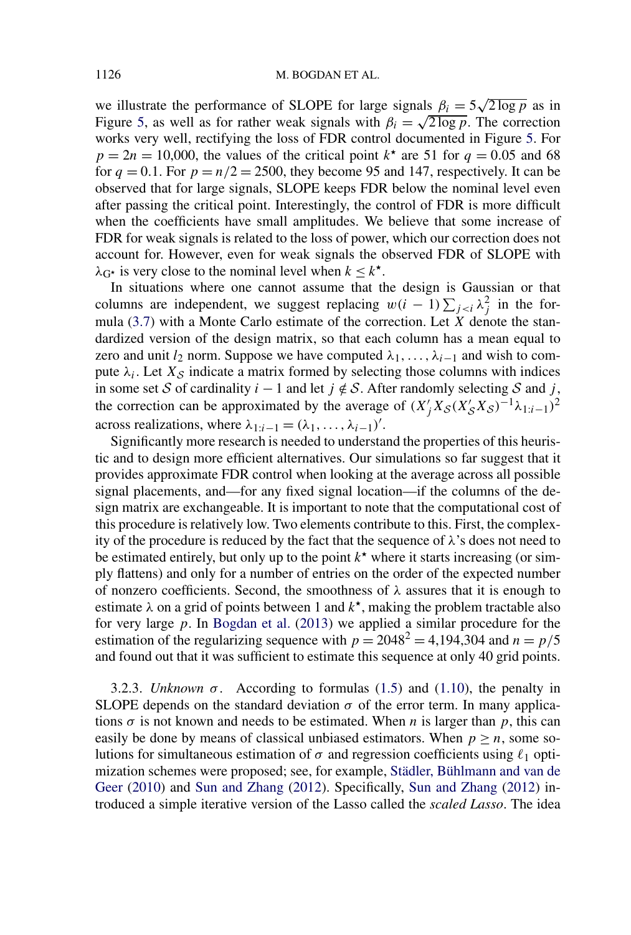we illustrate the performance of SLOPE for large signals  $\beta_i = 5\sqrt{2 \log p}$  as in Figure [5,](#page-19-0) as well as for rather weak signals with  $\beta_i = \sqrt{2 \log p}$ . The correction works very well, rectifying the loss of FDR control documented in Figure [5.](#page-19-0) For  $p = 2n = 10,000$ , the values of the critical point  $k^*$  are 51 for  $q = 0.05$  and 68 for  $q = 0.1$ . For  $p = n/2 = 2500$ , they become 95 and 147, respectively. It can be observed that for large signals, SLOPE keeps FDR below the nominal level even after passing the critical point. Interestingly, the control of FDR is more difficult when the coefficients have small amplitudes. We believe that some increase of FDR for weak signals is related to the loss of power, which our correction does not account for. However, even for weak signals the observed FDR of SLOPE with  $\lambda_{G^*}$  is very close to the nominal level when  $k \leq k^*$ .

In situations where one cannot assume that the design is Gaussian or that columns are independent, we suggest replacing  $w(i - 1) \sum_{j \leq i} \lambda_j^2$  in the formula [\(3.7\)](#page-21-0) with a Monte Carlo estimate of the correction. Let *X* denote the standardized version of the design matrix, so that each column has a mean equal to zero and unit  $l_2$  norm. Suppose we have computed  $\lambda_1, \ldots, \lambda_{i-1}$  and wish to compute  $\lambda_i$ . Let  $X_{\mathcal{S}}$  indicate a matrix formed by selecting those columns with indices in some set S of cardinality *i* − 1 and let  $j \notin S$ . After randomly selecting S and *j*, the correction can be approximated by the average of  $(X'_j X_S (X'_S X_S)^{-1} \lambda_{1:i-1})^2$ across realizations, where  $\lambda_{1:i-1} = (\lambda_1, \ldots, \lambda_{i-1})'$ .

Significantly more research is needed to understand the properties of this heuristic and to design more efficient alternatives. Our simulations so far suggest that it provides approximate FDR control when looking at the average across all possible signal placements, and—for any fixed signal location—if the columns of the design matrix are exchangeable. It is important to note that the computational cost of this procedure is relatively low. Two elements contribute to this. First, the complexity of the procedure is reduced by the fact that the sequence of  $\lambda$ 's does not need to be estimated entirely, but only up to the point  $k^*$  where it starts increasing (or simply flattens) and only for a number of entries on the order of the expected number of nonzero coefficients. Second, the smoothness of  $\lambda$  assures that it is enough to estimate  $\lambda$  on a grid of points between 1 and  $k^*$ , making the problem tractable also for very large *p*. In [Bogdan et al.](#page-35-0) [\(2013\)](#page-35-0) we applied a similar procedure for the estimation of the regularizing sequence with  $p = 2048^2 = 4,194,304$  and  $n = p/5$ and found out that it was sufficient to estimate this sequence at only 40 grid points.

3.2.3. *Unknown*  $\sigma$ . According to formulas [\(1.5\)](#page-4-0) and [\(1.10\)](#page-6-0), the penalty in SLOPE depends on the standard deviation  $\sigma$  of the error term. In many applications  $\sigma$  is not known and needs to be estimated. When *n* is larger than *p*, this can easily be done by means of classical unbiased estimators. When  $p \ge n$ , some solutions for simultaneous estimation of  $\sigma$  and regression coefficients using  $\ell_1$  optimization schemes were proposed; see, for example, [Städler, Bühlmann and van de](#page-36-0) [Geer](#page-36-0) [\(2010\)](#page-36-0) and [Sun and Zhang](#page-36-0) [\(2012\)](#page-36-0). Specifically, [Sun and Zhang](#page-36-0) [\(2012\)](#page-36-0) introduced a simple iterative version of the Lasso called the *scaled Lasso*. The idea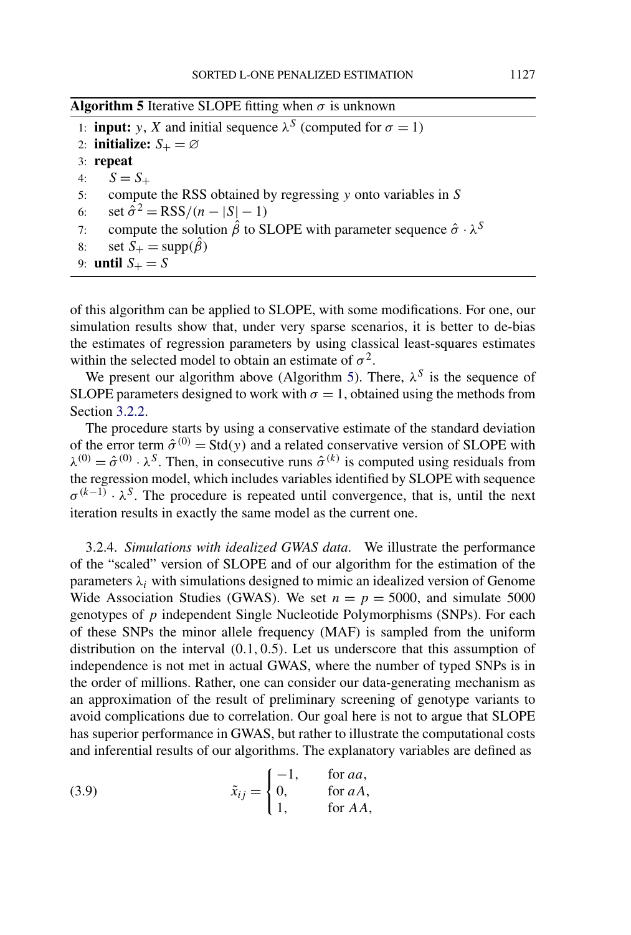| <b>Algorithm 5</b> Iterative SLOPE fitting when $\sigma$ is unknown |  |  |  |  |  |
|---------------------------------------------------------------------|--|--|--|--|--|
|---------------------------------------------------------------------|--|--|--|--|--|

1: **input:** *y*, *X* and initial sequence  $\lambda^{S}$  (computed for  $\sigma = 1$ ) 2: **initialize:**  $S_+ = \emptyset$ 3: **repeat** 4:  $S = S_{+}$ 5: compute the RSS obtained by regressing *y* onto variables in *S* 6: set  $\hat{\sigma}^2 = \text{RSS}/(n - |S| - 1)$ 7: compute the solution  $\hat{\beta}$  to SLOPE with parameter sequence  $\hat{\sigma} \cdot \lambda^{S}$ 8: set  $S_+$  = supp $(\hat{\beta})$ 9: **until**  $S_+ = S$ 

of this algorithm can be applied to SLOPE, with some modifications. For one, our simulation results show that, under very sparse scenarios, it is better to de-bias the estimates of regression parameters by using classical least-squares estimates within the selected model to obtain an estimate of  $\sigma^2$ .

We present our algorithm above (Algorithm 5). There,  $\lambda^S$  is the sequence of SLOPE parameters designed to work with  $\sigma = 1$ , obtained using the methods from Section [3.2.2.](#page-20-0)

The procedure starts by using a conservative estimate of the standard deviation of the error term  $\hat{\sigma}^{(0)} = \text{Std}(y)$  and a related conservative version of SLOPE with  $\lambda^{(0)} = \hat{\sigma}^{(0)} \cdot \lambda^S$ . Then, in consecutive runs  $\hat{\sigma}^{(k)}$  is computed using residuals from the regression model, which includes variables identified by SLOPE with sequence  $\sigma^{(k-1)} \cdot \lambda^S$ . The procedure is repeated until convergence, that is, until the next iteration results in exactly the same model as the current one.

3.2.4. *Simulations with idealized GWAS data*. We illustrate the performance of the "scaled" version of SLOPE and of our algorithm for the estimation of the parameters  $\lambda_i$  with simulations designed to mimic an idealized version of Genome Wide Association Studies (GWAS). We set  $n = p = 5000$ , and simulate 5000 genotypes of *p* independent Single Nucleotide Polymorphisms (SNPs). For each of these SNPs the minor allele frequency (MAF) is sampled from the uniform distribution on the interval *(*0*.*1*,* 0*.*5*)*. Let us underscore that this assumption of independence is not met in actual GWAS, where the number of typed SNPs is in the order of millions. Rather, one can consider our data-generating mechanism as an approximation of the result of preliminary screening of genotype variants to avoid complications due to correlation. Our goal here is not to argue that SLOPE has superior performance in GWAS, but rather to illustrate the computational costs and inferential results of our algorithms. The explanatory variables are defined as

(3.9) 
$$
\tilde{x}_{ij} = \begin{cases}\n-1, & \text{for } aa, \\
0, & \text{for } aA, \\
1, & \text{for } AA,\n\end{cases}
$$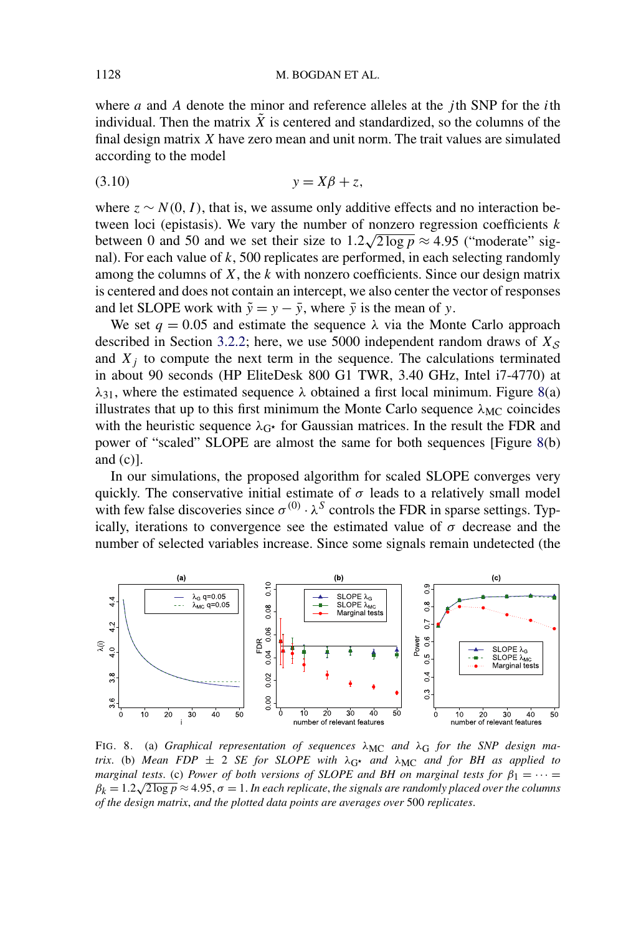<span id="page-25-0"></span>where *a* and *A* denote the minor and reference alleles at the *j* th SNP for the *i*th individual. Then the matrix  $\tilde{X}$  is centered and standardized, so the columns of the final design matrix *X* have zero mean and unit norm. The trait values are simulated according to the model

$$
(3.10) \t\t y = X\beta + z,
$$

where  $z \sim N(0, I)$ , that is, we assume only additive effects and no interaction between loci (epistasis). We vary the number of nonzero regression coefficients *k* tween loct (epistasis). We vary the number of nonzero regression coefficients  $\kappa$  between 0 and 50 and we set their size to  $1.2\sqrt{2 \log p} \approx 4.95$  ("moderate" signal). For each value of *k*, 500 replicates are performed, in each selecting randomly among the columns of *X*, the *k* with nonzero coefficients. Since our design matrix is centered and does not contain an intercept, we also center the vector of responses and let SLOPE work with  $\tilde{y} = y - \bar{y}$ , where  $\bar{y}$  is the mean of *y*.

We set  $q = 0.05$  and estimate the sequence  $\lambda$  via the Monte Carlo approach described in Section [3.2.2;](#page-20-0) here, we use 5000 independent random draws of  $X<sub>S</sub>$ and  $X_i$  to compute the next term in the sequence. The calculations terminated in about 90 seconds (HP EliteDesk 800 G1 TWR, 3.40 GHz, Intel i7-4770) at  $λ_{31}$ , where the estimated sequence  $λ$  obtained a first local minimum. Figure 8(a) illustrates that up to this first minimum the Monte Carlo sequence  $\lambda_{MC}$  coincides with the heuristic sequence  $\lambda_{G^*}$  for Gaussian matrices. In the result the FDR and power of "scaled" SLOPE are almost the same for both sequences [Figure 8(b) and  $(c)$ ].

In our simulations, the proposed algorithm for scaled SLOPE converges very quickly. The conservative initial estimate of  $\sigma$  leads to a relatively small model with few false discoveries since  $\sigma^{(0)} \cdot \lambda^S$  controls the FDR in sparse settings. Typically, iterations to convergence see the estimated value of  $\sigma$  decrease and the number of selected variables increase. Since some signals remain undetected (the



FIG. 8. (a) *Graphical representation of sequences λ*MC *and λ*G *for the SNP design matrix.* (b) *Mean FDP*  $\pm$  2 *SE for SLOPE with*  $\lambda_{G^*}$  *and*  $\lambda_{MC}$  *and for BH as applied to marginal tests.* (c) *Power of both versions of SLOPE and BH on marginal tests for*  $\beta_1 = \cdots =$  $β_k = 1.2\sqrt{2 \log p} \approx 4.95$ *,*  $σ = 1$ *. In each replicate, the signals are randomly placed over the columns of the design matrix*, *and the plotted data points are averages over* 500 *replicates*.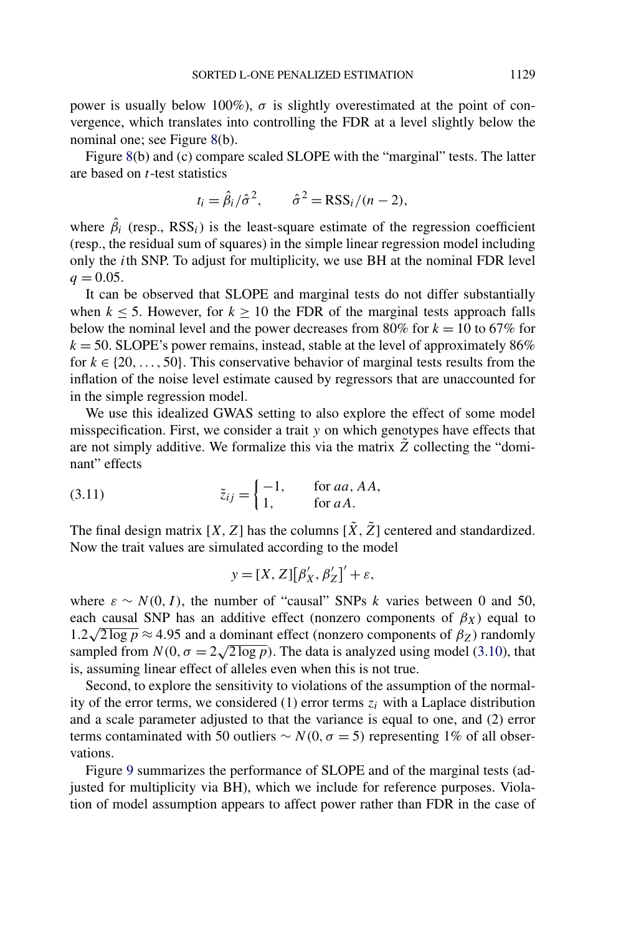power is usually below 100%),  $\sigma$  is slightly overestimated at the point of convergence, which translates into controlling the FDR at a level slightly below the nominal one; see Figure [8\(](#page-25-0)b).

Figure [8\(](#page-25-0)b) and (c) compare scaled SLOPE with the "marginal" tests. The latter are based on *t*-test statistics

$$
t_i = \hat{\beta}_i / \hat{\sigma}^2, \qquad \hat{\sigma}^2 = \text{RSS}_i / (n-2),
$$

where  $\hat{\beta}_i$  (resp., RSS<sub>i</sub>) is the least-square estimate of the regression coefficient (resp., the residual sum of squares) in the simple linear regression model including only the *i*th SNP. To adjust for multiplicity, we use BH at the nominal FDR level  $q = 0.05$ .

It can be observed that SLOPE and marginal tests do not differ substantially when  $k \le 5$ . However, for  $k \ge 10$  the FDR of the marginal tests approach falls below the nominal level and the power decreases from 80% for  $k = 10$  to 67% for  $k = 50$ . SLOPE's power remains, instead, stable at the level of approximately 86% for  $k \in \{20, \ldots, 50\}$ . This conservative behavior of marginal tests results from the inflation of the noise level estimate caused by regressors that are unaccounted for in the simple regression model.

We use this idealized GWAS setting to also explore the effect of some model misspecification. First, we consider a trait *y* on which genotypes have effects that are not simply additive. We formalize this via the matrix  $\tilde{Z}$  collecting the "dominant" effects

(3.11) 
$$
\tilde{z}_{ij} = \begin{cases} -1, & \text{for } aa, AA, \\ 1, & \text{for } aA. \end{cases}
$$

The final design matrix  $[X, Z]$  has the columns  $[\tilde{X}, \tilde{Z}]$  centered and standardized. Now the trait values are simulated according to the model

$$
y = [X, Z][\beta'_X, \beta'_Z]' + \varepsilon,
$$

where  $\varepsilon \sim N(0, I)$ , the number of "causal" SNPs *k* varies between 0 and 50, each causal SNP has an additive effect (nonzero components of  $\beta_X$ ) equal to each causal SNP has an additive effect (nonzero components of  $p_X$ ) equal to  $1.2\sqrt{2 \log p} \approx 4.95$  and a dominant effect (nonzero components of  $\beta_Z$ ) randomly  $1.2\sqrt{2} \log p \approx 4.95$  and a dominant effect (nonzero components of  $p_Z$ ) randomly sampled from  $N(0, \sigma = 2\sqrt{2 \log p})$ . The data is analyzed using model [\(3.10\)](#page-25-0), that is, assuming linear effect of alleles even when this is not true.

Second, to explore the sensitivity to violations of the assumption of the normality of the error terms, we considered (1) error terms *zi* with a Laplace distribution and a scale parameter adjusted to that the variance is equal to one, and (2) error terms contaminated with 50 outliers  $\sim N(0, \sigma = 5)$  representing 1% of all observations.

Figure [9](#page-27-0) summarizes the performance of SLOPE and of the marginal tests (adjusted for multiplicity via BH), which we include for reference purposes. Violation of model assumption appears to affect power rather than FDR in the case of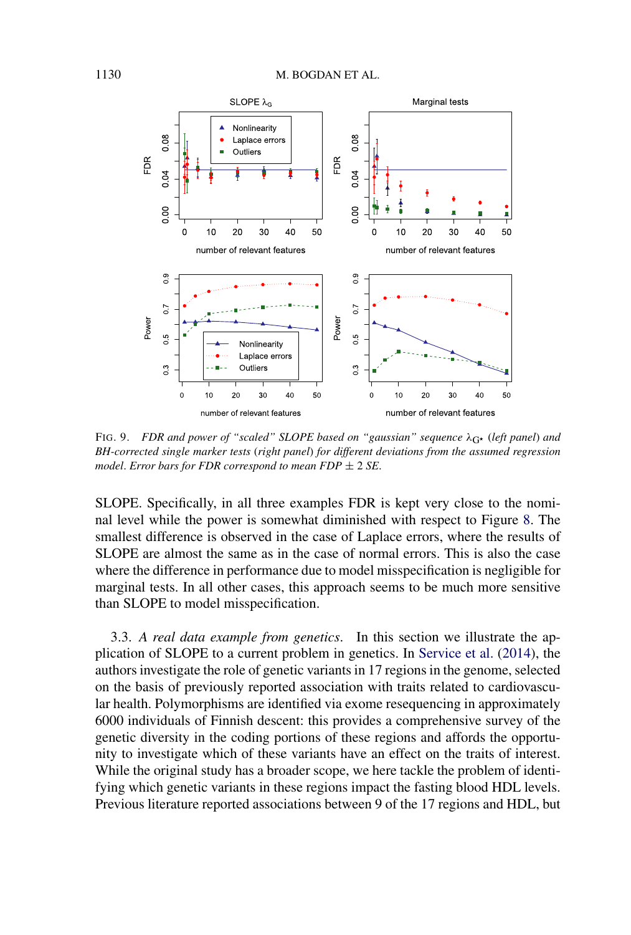<span id="page-27-0"></span>

FIG. 9. *FDR and power of "scaled" SLOPE based on "gaussian" sequence*  $\lambda_{G^*}$  (*left panel*) *and BH-corrected single marker tests* (*right panel*) *for different deviations from the assumed regression model. Error bars for FDR correspond to mean FDP*  $\pm$  2 *SE*.

SLOPE. Specifically, in all three examples FDR is kept very close to the nominal level while the power is somewhat diminished with respect to Figure [8.](#page-25-0) The smallest difference is observed in the case of Laplace errors, where the results of SLOPE are almost the same as in the case of normal errors. This is also the case where the difference in performance due to model misspecification is negligible for marginal tests. In all other cases, this approach seems to be much more sensitive than SLOPE to model misspecification.

3.3. *A real data example from genetics*. In this section we illustrate the application of SLOPE to a current problem in genetics. In [Service et al.](#page-36-0) [\(2014\)](#page-36-0), the authors investigate the role of genetic variants in 17 regions in the genome, selected on the basis of previously reported association with traits related to cardiovascular health. Polymorphisms are identified via exome resequencing in approximately 6000 individuals of Finnish descent: this provides a comprehensive survey of the genetic diversity in the coding portions of these regions and affords the opportunity to investigate which of these variants have an effect on the traits of interest. While the original study has a broader scope, we here tackle the problem of identifying which genetic variants in these regions impact the fasting blood HDL levels. Previous literature reported associations between 9 of the 17 regions and HDL, but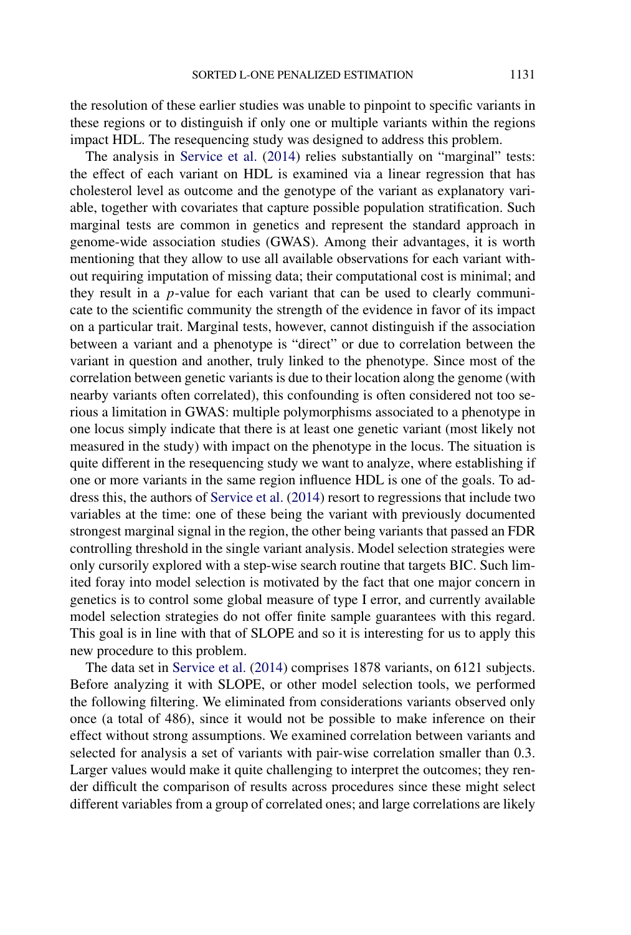the resolution of these earlier studies was unable to pinpoint to specific variants in these regions or to distinguish if only one or multiple variants within the regions impact HDL. The resequencing study was designed to address this problem.

The analysis in [Service et al.](#page-36-0) [\(2014\)](#page-36-0) relies substantially on "marginal" tests: the effect of each variant on HDL is examined via a linear regression that has cholesterol level as outcome and the genotype of the variant as explanatory variable, together with covariates that capture possible population stratification. Such marginal tests are common in genetics and represent the standard approach in genome-wide association studies (GWAS). Among their advantages, it is worth mentioning that they allow to use all available observations for each variant without requiring imputation of missing data; their computational cost is minimal; and they result in a *p*-value for each variant that can be used to clearly communicate to the scientific community the strength of the evidence in favor of its impact on a particular trait. Marginal tests, however, cannot distinguish if the association between a variant and a phenotype is "direct" or due to correlation between the variant in question and another, truly linked to the phenotype. Since most of the correlation between genetic variants is due to their location along the genome (with nearby variants often correlated), this confounding is often considered not too serious a limitation in GWAS: multiple polymorphisms associated to a phenotype in one locus simply indicate that there is at least one genetic variant (most likely not measured in the study) with impact on the phenotype in the locus. The situation is quite different in the resequencing study we want to analyze, where establishing if one or more variants in the same region influence HDL is one of the goals. To address this, the authors of [Service et al.](#page-36-0) [\(2014\)](#page-36-0) resort to regressions that include two variables at the time: one of these being the variant with previously documented strongest marginal signal in the region, the other being variants that passed an FDR controlling threshold in the single variant analysis. Model selection strategies were only cursorily explored with a step-wise search routine that targets BIC. Such limited foray into model selection is motivated by the fact that one major concern in genetics is to control some global measure of type I error, and currently available model selection strategies do not offer finite sample guarantees with this regard. This goal is in line with that of SLOPE and so it is interesting for us to apply this new procedure to this problem.

The data set in [Service et al.](#page-36-0) [\(2014\)](#page-36-0) comprises 1878 variants, on 6121 subjects. Before analyzing it with SLOPE, or other model selection tools, we performed the following filtering. We eliminated from considerations variants observed only once (a total of 486), since it would not be possible to make inference on their effect without strong assumptions. We examined correlation between variants and selected for analysis a set of variants with pair-wise correlation smaller than 0.3. Larger values would make it quite challenging to interpret the outcomes; they render difficult the comparison of results across procedures since these might select different variables from a group of correlated ones; and large correlations are likely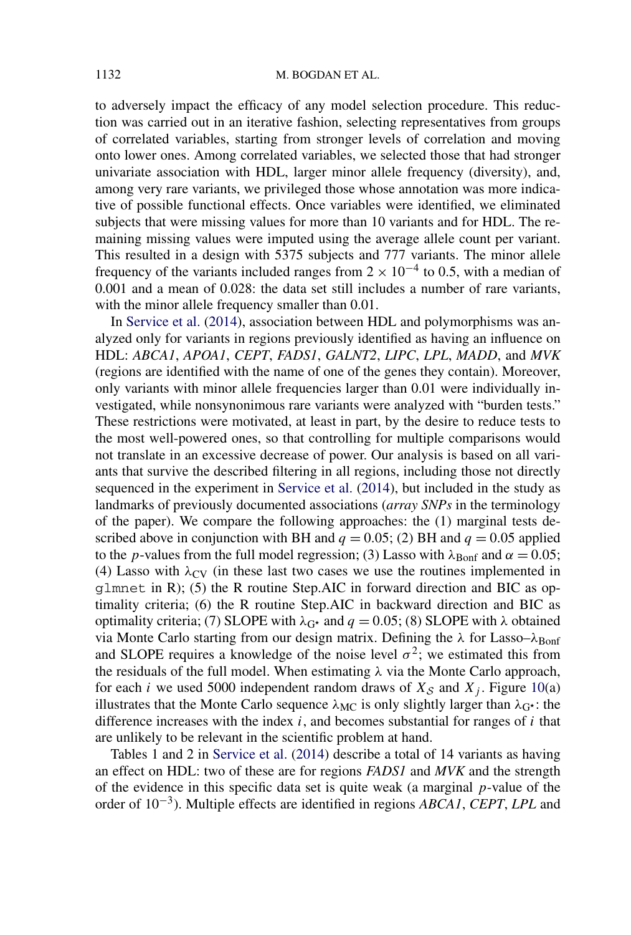to adversely impact the efficacy of any model selection procedure. This reduction was carried out in an iterative fashion, selecting representatives from groups of correlated variables, starting from stronger levels of correlation and moving onto lower ones. Among correlated variables, we selected those that had stronger univariate association with HDL, larger minor allele frequency (diversity), and, among very rare variants, we privileged those whose annotation was more indicative of possible functional effects. Once variables were identified, we eliminated subjects that were missing values for more than 10 variants and for HDL. The remaining missing values were imputed using the average allele count per variant. This resulted in a design with 5375 subjects and 777 variants. The minor allele frequency of the variants included ranges from  $2 \times 10^{-4}$  to 0.5, with a median of 0.001 and a mean of 0.028: the data set still includes a number of rare variants, with the minor allele frequency smaller than 0.01.

In [Service et al.](#page-36-0) [\(2014\)](#page-36-0), association between HDL and polymorphisms was analyzed only for variants in regions previously identified as having an influence on HDL: *ABCA1*, *APOA1*, *CEPT*, *FADS1*, *GALNT2*, *LIPC*, *LPL*, *MADD*, and *MVK* (regions are identified with the name of one of the genes they contain). Moreover, only variants with minor allele frequencies larger than 0.01 were individually investigated, while nonsynonimous rare variants were analyzed with "burden tests." These restrictions were motivated, at least in part, by the desire to reduce tests to the most well-powered ones, so that controlling for multiple comparisons would not translate in an excessive decrease of power. Our analysis is based on all variants that survive the described filtering in all regions, including those not directly sequenced in the experiment in [Service et al.](#page-36-0) [\(2014\)](#page-36-0), but included in the study as landmarks of previously documented associations (*array SNPs* in the terminology of the paper). We compare the following approaches: the (1) marginal tests described above in conjunction with BH and  $q = 0.05$ ; (2) BH and  $q = 0.05$  applied to the *p*-values from the full model regression; (3) Lasso with  $\lambda_{\text{Bonf}}$  and  $\alpha = 0.05$ ; (4) Lasso with  $\lambda_{\rm CV}$  (in these last two cases we use the routines implemented in glmnet in R); (5) the R routine Step.AIC in forward direction and BIC as optimality criteria; (6) the R routine Step.AIC in backward direction and BIC as optimality criteria; (7) SLOPE with  $\lambda_{G^*}$  and  $q = 0.05$ ; (8) SLOPE with  $\lambda$  obtained via Monte Carlo starting from our design matrix. Defining the λ for Lasso–λ<sub>Bonf</sub> and SLOPE requires a knowledge of the noise level  $\sigma^2$ ; we estimated this from the residuals of the full model. When estimating *λ* via the Monte Carlo approach, for each *i* we used 5000 independent random draws of  $X<sub>S</sub>$  and  $X<sub>i</sub>$ . Figure [10\(](#page-30-0)a) illustrates that the Monte Carlo sequence  $\lambda_{MC}$  is only slightly larger than  $\lambda_{G^*}$ : the difference increases with the index *i*, and becomes substantial for ranges of *i* that are unlikely to be relevant in the scientific problem at hand.

Tables 1 and 2 in [Service et al.](#page-36-0) [\(2014\)](#page-36-0) describe a total of 14 variants as having an effect on HDL: two of these are for regions *FADS1* and *MVK* and the strength of the evidence in this specific data set is quite weak (a marginal *p*-value of the order of 10<sup>−</sup>3). Multiple effects are identified in regions *ABCA1*, *CEPT*, *LPL* and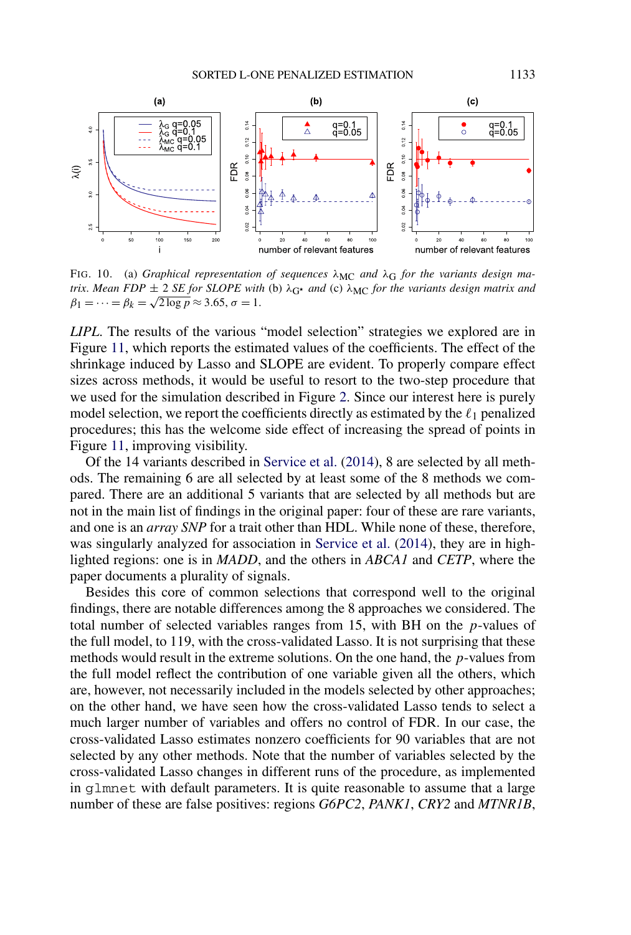<span id="page-30-0"></span>

FIG. 10. (a) *Graphical representation of sequences*  $\lambda_{MC}$  *and*  $\lambda_G$  *for the variants design matrix. Mean FDP*  $\pm$  2 *SE for SLOPE with* (b)  $\lambda_{G^*}$  and (c)  $\lambda_{MC}$  *for the variants design matrix and*  $\beta_1 = \cdots = \beta_k = \sqrt{2 \log p} \approx 3.65, \sigma = 1.$ 

*LIPL*. The results of the various "model selection" strategies we explored are in Figure [11,](#page-31-0) which reports the estimated values of the coefficients. The effect of the shrinkage induced by Lasso and SLOPE are evident. To properly compare effect sizes across methods, it would be useful to resort to the two-step procedure that we used for the simulation described in Figure [2.](#page-10-0) Since our interest here is purely model selection, we report the coefficients directly as estimated by the  $\ell_1$  penalized procedures; this has the welcome side effect of increasing the spread of points in Figure [11,](#page-31-0) improving visibility.

Of the 14 variants described in [Service et al.](#page-36-0) [\(2014\)](#page-36-0), 8 are selected by all methods. The remaining 6 are all selected by at least some of the 8 methods we compared. There are an additional 5 variants that are selected by all methods but are not in the main list of findings in the original paper: four of these are rare variants, and one is an *array SNP* for a trait other than HDL. While none of these, therefore, was singularly analyzed for association in [Service et al.](#page-36-0) [\(2014\)](#page-36-0), they are in highlighted regions: one is in *MADD*, and the others in *ABCA1* and *CETP*, where the paper documents a plurality of signals.

Besides this core of common selections that correspond well to the original findings, there are notable differences among the 8 approaches we considered. The total number of selected variables ranges from 15, with BH on the *p*-values of the full model, to 119, with the cross-validated Lasso. It is not surprising that these methods would result in the extreme solutions. On the one hand, the *p*-values from the full model reflect the contribution of one variable given all the others, which are, however, not necessarily included in the models selected by other approaches; on the other hand, we have seen how the cross-validated Lasso tends to select a much larger number of variables and offers no control of FDR. In our case, the cross-validated Lasso estimates nonzero coefficients for 90 variables that are not selected by any other methods. Note that the number of variables selected by the cross-validated Lasso changes in different runs of the procedure, as implemented in glmnet with default parameters. It is quite reasonable to assume that a large number of these are false positives: regions *G6PC2*, *PANK1*, *CRY2* and *MTNR1B*,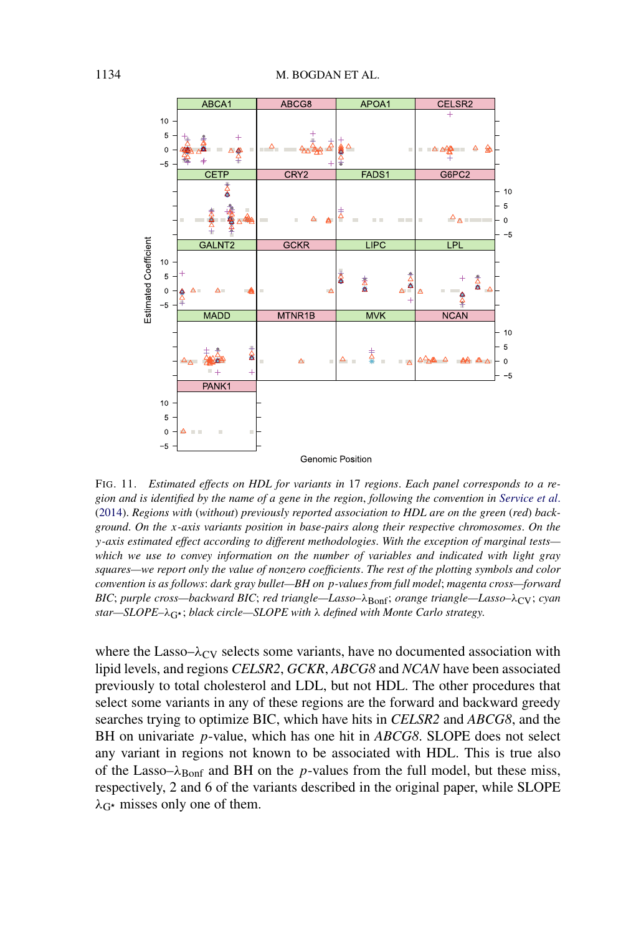<span id="page-31-0"></span>

FIG. 11. *Estimated effects on HDL for variants in* 17 *regions*. *Each panel corresponds to a region and is identified by the name of a gene in the region*, *following the convention in [Service et al](#page-36-0)*. [\(2014\)](#page-36-0). *Regions with* (*without*) *previously reported association to HDL are on the green* (*red*) *background*. *On the x-axis variants position in base-pairs along their respective chromosomes*. *On the y-axis estimated effect according to different methodologies*. *With the exception of marginal tests which we use to convey information on the number of variables and indicated with light gray squares—we report only the value of nonzero coefficients*. *The rest of the plotting symbols and color convention is as follows*: *dark gray bullet—BH on p-values from full model*; *magenta cross—forward BIC*; *purple cross—backward BIC*; *red triangle—Lasso*–λ<sub>Bonf</sub>; *orange triangle—Lasso*–λ<sub>CV</sub>; *cyan star—SLOPE–λ*G ; *black circle—SLOPE with λ defined with Monte Carlo strategy*.

where the Lasso– $\lambda_{CV}$  selects some variants, have no documented association with lipid levels, and regions *CELSR2*, *GCKR*, *ABCG8* and *NCAN* have been associated previously to total cholesterol and LDL, but not HDL. The other procedures that select some variants in any of these regions are the forward and backward greedy searches trying to optimize BIC, which have hits in *CELSR2* and *ABCG8*, and the BH on univariate *p*-value, which has one hit in *ABCG8*. SLOPE does not select any variant in regions not known to be associated with HDL. This is true also of the Lasso– $\lambda_{\text{Bonf}}$  and BH on the *p*-values from the full model, but these miss, respectively, 2 and 6 of the variants described in the original paper, while SLOPE  $\lambda$ <sub>G</sub> misses only one of them.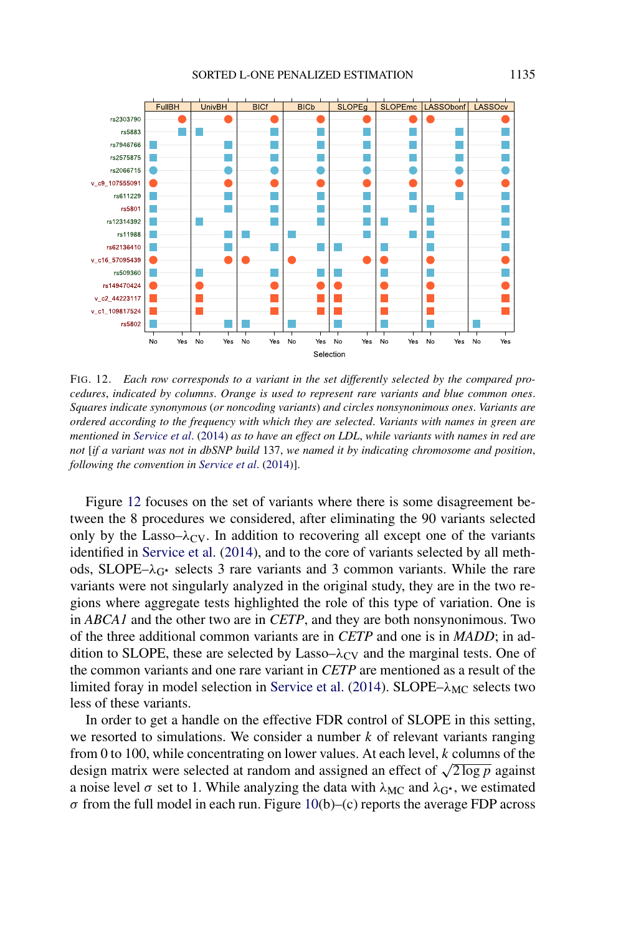

FIG. 12. *Each row corresponds to a variant in the set differently selected by the compared procedures*, *indicated by columns*. *Orange is used to represent rare variants and blue common ones*. *Squares indicate synonymous* (*or noncoding variants*) *and circles nonsynonimous ones*. *Variants are ordered according to the frequency with which they are selected*. *Variants with names in green are mentioned in [Service et al](#page-36-0)*. [\(2014\)](#page-36-0) *as to have an effect on LDL*, *while variants with names in red are not* [*if a variant was not in dbSNP build* 137, *we named it by indicating chromosome and position*, *following the convention in [Service et al](#page-36-0)*. [\(2014\)](#page-36-0)].

Figure 12 focuses on the set of variants where there is some disagreement between the 8 procedures we considered, after eliminating the 90 variants selected only by the Lasso– $\lambda_{CV}$ . In addition to recovering all except one of the variants identified in [Service et al.](#page-36-0) [\(2014\)](#page-36-0), and to the core of variants selected by all methods, SLOPE– $\lambda_{G^*}$  selects 3 rare variants and 3 common variants. While the rare variants were not singularly analyzed in the original study, they are in the two regions where aggregate tests highlighted the role of this type of variation. One is in *ABCA1* and the other two are in *CETP*, and they are both nonsynonimous. Two of the three additional common variants are in *CETP* and one is in *MADD*; in addition to SLOPE, these are selected by Lasso– $\lambda_{CV}$  and the marginal tests. One of the common variants and one rare variant in *CETP* are mentioned as a result of the limited foray in model selection in [Service et al.](#page-36-0) [\(2014\)](#page-36-0). SLOPE– $λ_{MC}$  selects two less of these variants.

In order to get a handle on the effective FDR control of SLOPE in this setting, we resorted to simulations. We consider a number *k* of relevant variants ranging from 0 to 100, while concentrating on lower values. At each level, *k* columns of the design matrix were selected at random and assigned an effect of  $\sqrt{2 \log p}$  against a noise level  $\sigma$  set to 1. While analyzing the data with  $\lambda_{MC}$  and  $\lambda_{G^*}$ , we estimated  $\sigma$  from the full model in each run. Figure [10\(](#page-30-0)b)–(c) reports the average FDP across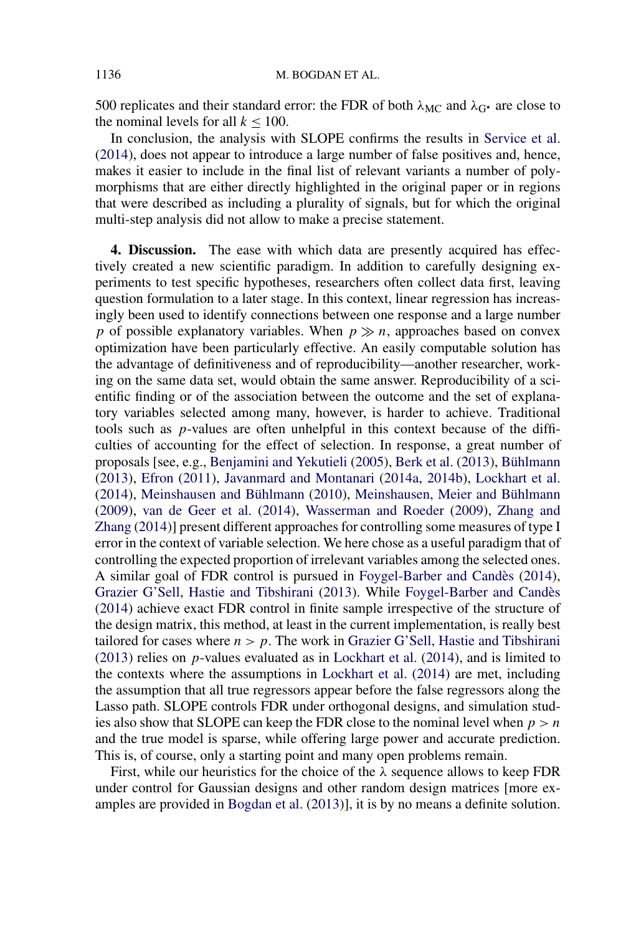<span id="page-33-0"></span>500 replicates and their standard error: the FDR of both  $\lambda_{MC}$  and  $\lambda_{G^*}$  are close to the nominal levels for all  $k \le 100$ .

In conclusion, the analysis with SLOPE confirms the results in [Service et al.](#page-36-0) [\(2014\)](#page-36-0), does not appear to introduce a large number of false positives and, hence, makes it easier to include in the final list of relevant variants a number of polymorphisms that are either directly highlighted in the original paper or in regions that were described as including a plurality of signals, but for which the original multi-step analysis did not allow to make a precise statement.

**4. Discussion.** The ease with which data are presently acquired has effectively created a new scientific paradigm. In addition to carefully designing experiments to test specific hypotheses, researchers often collect data first, leaving question formulation to a later stage. In this context, linear regression has increasingly been used to identify connections between one response and a large number *p* of possible explanatory variables. When  $p \gg n$ , approaches based on convex optimization have been particularly effective. An easily computable solution has the advantage of definitiveness and of reproducibility—another researcher, working on the same data set, would obtain the same answer. Reproducibility of a scientific finding or of the association between the outcome and the set of explanatory variables selected among many, however, is harder to achieve. Traditional tools such as *p*-values are often unhelpful in this context because of the difficulties of accounting for the effect of selection. In response, a great number of proposals [see, e.g., [Benjamini and Yekutieli](#page-35-0) [\(2005\)](#page-35-0), [Berk et al.](#page-35-0) [\(2013\)](#page-35-0), [Bühlmann](#page-35-0) [\(2013\)](#page-35-0), [Efron](#page-35-0) [\(2011\)](#page-35-0), [Javanmard and Montanari](#page-36-0) [\(2014a,](#page-36-0) [2014b\)](#page-36-0), [Lockhart et al.](#page-36-0) [\(2014\)](#page-36-0), [Meinshausen and Bühlmann](#page-36-0) [\(2010\)](#page-36-0), [Meinshausen, Meier and Bühlmann](#page-36-0) [\(2009\)](#page-36-0), [van de Geer et al.](#page-37-0) [\(2014\)](#page-37-0), [Wasserman and Roeder](#page-37-0) [\(2009\)](#page-37-0), [Zhang and](#page-37-0) [Zhang](#page-37-0) [\(2014\)](#page-37-0)] present different approaches for controlling some measures of type I error in the context of variable selection. We here chose as a useful paradigm that of controlling the expected proportion of irrelevant variables among the selected ones. A similar goal of FDR control is pursued in [Foygel-Barber and Candès](#page-36-0) [\(2014\)](#page-36-0), [Grazier G'Sell, Hastie and Tibshirani](#page-36-0) [\(2013\)](#page-36-0). While [Foygel-Barber and Candès](#page-36-0) [\(2014\)](#page-36-0) achieve exact FDR control in finite sample irrespective of the structure of the design matrix, this method, at least in the current implementation, is really best tailored for cases where  $n > p$ . The work in [Grazier G'Sell, Hastie and Tibshirani](#page-36-0) [\(2013\)](#page-36-0) relies on *p*-values evaluated as in [Lockhart et al.](#page-36-0) [\(2014\)](#page-36-0), and is limited to the contexts where the assumptions in [Lockhart et al.](#page-36-0) [\(2014\)](#page-36-0) are met, including the assumption that all true regressors appear before the false regressors along the Lasso path. SLOPE controls FDR under orthogonal designs, and simulation studies also show that SLOPE can keep the FDR close to the nominal level when  $p > n$ and the true model is sparse, while offering large power and accurate prediction. This is, of course, only a starting point and many open problems remain.

First, while our heuristics for the choice of the *λ* sequence allows to keep FDR under control for Gaussian designs and other random design matrices [more examples are provided in [Bogdan et al.](#page-35-0) [\(2013\)](#page-35-0)], it is by no means a definite solution.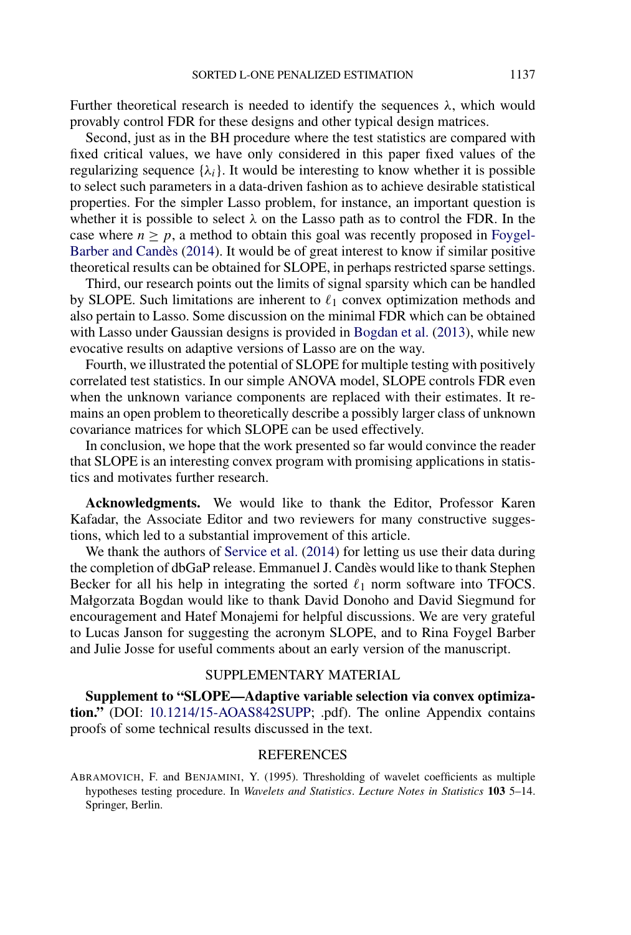<span id="page-34-0"></span>Further theoretical research is needed to identify the sequences  $\lambda$ , which would provably control FDR for these designs and other typical design matrices.

Second, just as in the BH procedure where the test statistics are compared with fixed critical values, we have only considered in this paper fixed values of the regularizing sequence  $\{\lambda_i\}$ . It would be interesting to know whether it is possible to select such parameters in a data-driven fashion as to achieve desirable statistical properties. For the simpler Lasso problem, for instance, an important question is whether it is possible to select  $\lambda$  on the Lasso path as to control the FDR. In the case where  $n \geq p$ , a method to obtain this goal was recently proposed in [Foygel-](#page-36-0)[Barber and Candès](#page-36-0) [\(2014\)](#page-36-0). It would be of great interest to know if similar positive theoretical results can be obtained for SLOPE, in perhaps restricted sparse settings.

Third, our research points out the limits of signal sparsity which can be handled by SLOPE. Such limitations are inherent to  $\ell_1$  convex optimization methods and also pertain to Lasso. Some discussion on the minimal FDR which can be obtained with Lasso under Gaussian designs is provided in [Bogdan et al.](#page-35-0) [\(2013\)](#page-35-0), while new evocative results on adaptive versions of Lasso are on the way.

Fourth, we illustrated the potential of SLOPE for multiple testing with positively correlated test statistics. In our simple ANOVA model, SLOPE controls FDR even when the unknown variance components are replaced with their estimates. It remains an open problem to theoretically describe a possibly larger class of unknown covariance matrices for which SLOPE can be used effectively.

In conclusion, we hope that the work presented so far would convince the reader that SLOPE is an interesting convex program with promising applications in statistics and motivates further research.

**Acknowledgments.** We would like to thank the Editor, Professor Karen Kafadar, the Associate Editor and two reviewers for many constructive suggestions, which led to a substantial improvement of this article.

We thank the authors of [Service et al.](#page-36-0) [\(2014\)](#page-36-0) for letting us use their data during the completion of dbGaP release. Emmanuel J. Candès would like to thank Stephen Becker for all his help in integrating the sorted  $\ell_1$  norm software into TFOCS. Małgorzata Bogdan would like to thank David Donoho and David Siegmund for encouragement and Hatef Monajemi for helpful discussions. We are very grateful to Lucas Janson for suggesting the acronym SLOPE, and to Rina Foygel Barber and Julie Josse for useful comments about an early version of the manuscript.

#### SUPPLEMENTARY MATERIAL

**Supplement to "SLOPE—Adaptive variable selection via convex optimization."** (DOI: [10.1214/15-AOAS842SUPP;](http://dx.doi.org/10.1214/15-AOAS842SUPP) .pdf). The online Appendix contains proofs of some technical results discussed in the text.

#### REFERENCES

ABRAMOVICH, F. and BENJAMINI, Y. (1995). Thresholding of wavelet coefficients as multiple hypotheses testing procedure. In *Wavelets and Statistics*. *Lecture Notes in Statistics* **103** 5–14. Springer, Berlin.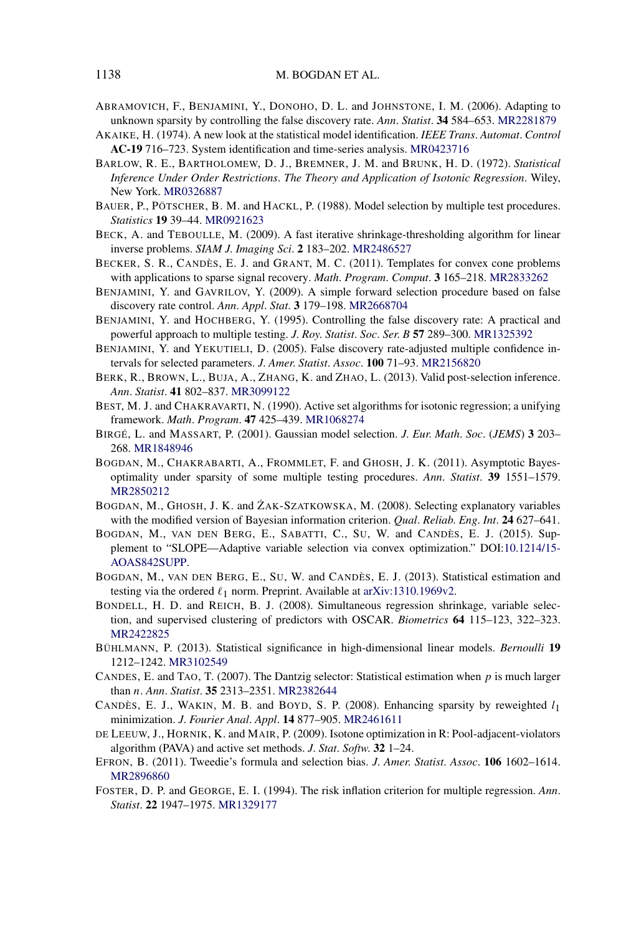- <span id="page-35-0"></span>ABRAMOVICH, F., BENJAMINI, Y., DONOHO, D. L. and JOHNSTONE, I. M. (2006). Adapting to unknown sparsity by controlling the false discovery rate. *Ann*. *Statist*. **34** 584–653. [MR2281879](http://www.ams.org/mathscinet-getitem?mr=2281879)
- AKAIKE, H. (1974). A new look at the statistical model identification. *IEEE Trans*. *Automat*. *Control* **AC-19** 716–723. System identification and time-series analysis. [MR0423716](http://www.ams.org/mathscinet-getitem?mr=0423716)
- BARLOW, R. E., BARTHOLOMEW, D. J., BREMNER, J. M. and BRUNK, H. D. (1972). *Statistical Inference Under Order Restrictions*. *The Theory and Application of Isotonic Regression*. Wiley, New York. [MR0326887](http://www.ams.org/mathscinet-getitem?mr=0326887)
- BAUER, P., PÖTSCHER, B. M. and HACKL, P. (1988). Model selection by multiple test procedures. *Statistics* **19** 39–44. [MR0921623](http://www.ams.org/mathscinet-getitem?mr=0921623)
- BECK, A. and TEBOULLE, M. (2009). A fast iterative shrinkage-thresholding algorithm for linear inverse problems. *SIAM J*. *Imaging Sci*. **2** 183–202. [MR2486527](http://www.ams.org/mathscinet-getitem?mr=2486527)
- BECKER, S. R., CANDÈS, E. J. and GRANT, M. C. (2011). Templates for convex cone problems with applications to sparse signal recovery. *Math*. *Program*. *Comput*. **3** 165–218. [MR2833262](http://www.ams.org/mathscinet-getitem?mr=2833262)
- BENJAMINI, Y. and GAVRILOV, Y. (2009). A simple forward selection procedure based on false discovery rate control. *Ann*. *Appl*. *Stat*. **3** 179–198. [MR2668704](http://www.ams.org/mathscinet-getitem?mr=2668704)
- BENJAMINI, Y. and HOCHBERG, Y. (1995). Controlling the false discovery rate: A practical and powerful approach to multiple testing. *J*. *Roy*. *Statist*. *Soc*. *Ser*. *B* **57** 289–300. [MR1325392](http://www.ams.org/mathscinet-getitem?mr=1325392)
- BENJAMINI, Y. and YEKUTIELI, D. (2005). False discovery rate-adjusted multiple confidence intervals for selected parameters. *J*. *Amer*. *Statist*. *Assoc*. **100** 71–93. [MR2156820](http://www.ams.org/mathscinet-getitem?mr=2156820)
- BERK, R., BROWN, L., BUJA, A., ZHANG, K. and ZHAO, L. (2013). Valid post-selection inference. *Ann*. *Statist*. **41** 802–837. [MR3099122](http://www.ams.org/mathscinet-getitem?mr=3099122)
- BEST, M. J. and CHAKRAVARTI, N. (1990). Active set algorithms for isotonic regression; a unifying framework. *Math*. *Program*. **47** 425–439. [MR1068274](http://www.ams.org/mathscinet-getitem?mr=1068274)
- BIRGÉ, L. and MASSART, P. (2001). Gaussian model selection. *J*. *Eur*. *Math*. *Soc*. (*JEMS*) **3** 203– 268. [MR1848946](http://www.ams.org/mathscinet-getitem?mr=1848946)
- BOGDAN, M., CHAKRABARTI, A., FROMMLET, F. and GHOSH, J. K. (2011). Asymptotic Bayesoptimality under sparsity of some multiple testing procedures. *Ann*. *Statist*. **39** 1551–1579. [MR2850212](http://www.ams.org/mathscinet-getitem?mr=2850212)
- BOGDAN, M., GHOSH, J. K. and  $\overline{Z}$ AK-SZATKOWSKA, M. (2008). Selecting explanatory variables with the modified version of Bayesian information criterion. *Qual*. *Reliab*. *Eng*. *Int*. **24** 627–641.
- BOGDAN, M., VAN DEN BERG, E., SABATTI, C., SU, W. and CANDÈS, E. J. (2015). Supplement to "SLOPE—Adaptive variable selection via convex optimization." DOI[:10.1214/15-](http://dx.doi.org/10.1214/15-AOAS842SUPP) [AOAS842SUPP.](http://dx.doi.org/10.1214/15-AOAS842SUPP)
- BOGDAN, M., VAN DEN BERG, E., SU, W. and CANDÈS, E. J. (2013). Statistical estimation and testing via the ordered  $\ell_1$  norm. Preprint. Available at [arXiv:1310.1969v2.](http://arxiv.org/abs/arXiv:1310.1969v2)
- BONDELL, H. D. and REICH, B. J. (2008). Simultaneous regression shrinkage, variable selection, and supervised clustering of predictors with OSCAR. *Biometrics* **64** 115–123, 322–323. [MR2422825](http://www.ams.org/mathscinet-getitem?mr=2422825)
- BÜHLMANN, P. (2013). Statistical significance in high-dimensional linear models. *Bernoulli* **19** 1212–1242. [MR3102549](http://www.ams.org/mathscinet-getitem?mr=3102549)
- CANDES, E. and TAO, T. (2007). The Dantzig selector: Statistical estimation when *p* is much larger than *n*. *Ann*. *Statist*. **35** 2313–2351. [MR2382644](http://www.ams.org/mathscinet-getitem?mr=2382644)
- CANDÈS, E. J., WAKIN, M. B. and BOYD, S. P. (2008). Enhancing sparsity by reweighted *l*1 minimization. *J*. *Fourier Anal*. *Appl*. **14** 877–905. [MR2461611](http://www.ams.org/mathscinet-getitem?mr=2461611)
- DE LEEUW, J., HORNIK, K. and MAIR, P. (2009). Isotone optimization in R: Pool-adjacent-violators algorithm (PAVA) and active set methods. *J*. *Stat*. *Softw*. **32** 1–24.
- EFRON, B. (2011). Tweedie's formula and selection bias. *J*. *Amer*. *Statist*. *Assoc*. **106** 1602–1614. [MR2896860](http://www.ams.org/mathscinet-getitem?mr=2896860)
- FOSTER, D. P. and GEORGE, E. I. (1994). The risk inflation criterion for multiple regression. *Ann*. *Statist*. **22** 1947–1975. [MR1329177](http://www.ams.org/mathscinet-getitem?mr=1329177)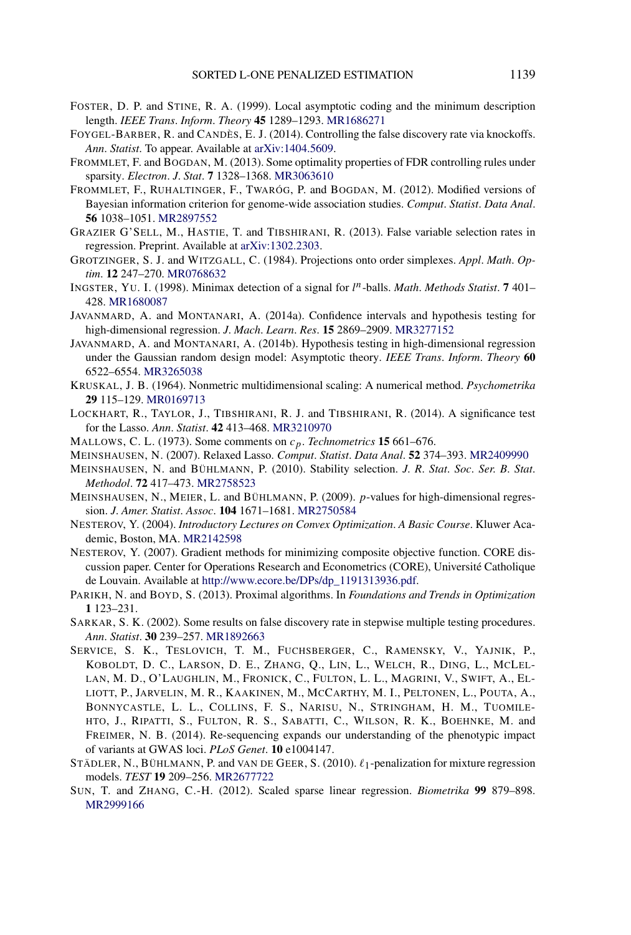- <span id="page-36-0"></span>FOSTER, D. P. and STINE, R. A. (1999). Local asymptotic coding and the minimum description length. *IEEE Trans*. *Inform*. *Theory* **45** 1289–1293. [MR1686271](http://www.ams.org/mathscinet-getitem?mr=1686271)
- FOYGEL-BARBER, R. and CANDÈS, E. J. (2014). Controlling the false discovery rate via knockoffs. *Ann*. *Statist*. To appear. Available at [arXiv:1404.5609.](http://arxiv.org/abs/arXiv:1404.5609)
- FROMMLET, F. and BOGDAN, M. (2013). Some optimality properties of FDR controlling rules under sparsity. *Electron*. *J*. *Stat*. **7** 1328–1368. [MR3063610](http://www.ams.org/mathscinet-getitem?mr=3063610)
- FROMMLET, F., RUHALTINGER, F., TWARÓG, P. and BOGDAN, M. (2012). Modified versions of Bayesian information criterion for genome-wide association studies. *Comput*. *Statist*. *Data Anal*. **56** 1038–1051. [MR2897552](http://www.ams.org/mathscinet-getitem?mr=2897552)
- GRAZIER G'SELL, M., HASTIE, T. and TIBSHIRANI, R. (2013). False variable selection rates in regression. Preprint. Available at [arXiv:1302.2303](http://arxiv.org/abs/arXiv:1302.2303).
- GROTZINGER, S. J. and WITZGALL, C. (1984). Projections onto order simplexes. *Appl*. *Math*. *Optim*. **12** 247–270. [MR0768632](http://www.ams.org/mathscinet-getitem?mr=0768632)
- INGSTER, YU. I. (1998). Minimax detection of a signal for *l <sup>n</sup>*-balls. *Math*. *Methods Statist*. **7** 401– 428. [MR1680087](http://www.ams.org/mathscinet-getitem?mr=1680087)
- JAVANMARD, A. and MONTANARI, A. (2014a). Confidence intervals and hypothesis testing for high-dimensional regression. *J*. *Mach*. *Learn*. *Res*. **15** 2869–2909. [MR3277152](http://www.ams.org/mathscinet-getitem?mr=3277152)
- JAVANMARD, A. and MONTANARI, A. (2014b). Hypothesis testing in high-dimensional regression under the Gaussian random design model: Asymptotic theory. *IEEE Trans*. *Inform*. *Theory* **60** 6522–6554. [MR3265038](http://www.ams.org/mathscinet-getitem?mr=3265038)
- KRUSKAL, J. B. (1964). Nonmetric multidimensional scaling: A numerical method. *Psychometrika* **29** 115–129. [MR0169713](http://www.ams.org/mathscinet-getitem?mr=0169713)
- LOCKHART, R., TAYLOR, J., TIBSHIRANI, R. J. and TIBSHIRANI, R. (2014). A significance test for the Lasso. *Ann*. *Statist*. **42** 413–468. [MR3210970](http://www.ams.org/mathscinet-getitem?mr=3210970)
- MALLOWS, C. L. (1973). Some comments on *cp*. *Technometrics* **15** 661–676.
- MEINSHAUSEN, N. (2007). Relaxed Lasso. *Comput*. *Statist*. *Data Anal*. **52** 374–393. [MR2409990](http://www.ams.org/mathscinet-getitem?mr=2409990)
- MEINSHAUSEN, N. and BÜHLMANN, P. (2010). Stability selection. *J*. *R*. *Stat*. *Soc*. *Ser*. *B*. *Stat*. *Methodol*. **72** 417–473. [MR2758523](http://www.ams.org/mathscinet-getitem?mr=2758523)
- MEINSHAUSEN, N., MEIER, L. and BÜHLMANN, P. (2009). *p*-values for high-dimensional regression. *J*. *Amer*. *Statist*. *Assoc*. **104** 1671–1681. [MR2750584](http://www.ams.org/mathscinet-getitem?mr=2750584)
- NESTEROV, Y. (2004). *Introductory Lectures on Convex Optimization*. *A Basic Course*. Kluwer Academic, Boston, MA. [MR2142598](http://www.ams.org/mathscinet-getitem?mr=2142598)
- NESTEROV, Y. (2007). Gradient methods for minimizing composite objective function. CORE discussion paper. Center for Operations Research and Econometrics (CORE), Université Catholique de Louvain. Available at [http://www.ecore.be/DPs/dp\\_1191313936.pdf.](http://www.ecore.be/DPs/dp_1191313936.pdf)
- PARIKH, N. and BOYD, S. (2013). Proximal algorithms. In *Foundations and Trends in Optimization* **1** 123–231.
- SARKAR, S. K. (2002). Some results on false discovery rate in stepwise multiple testing procedures. *Ann*. *Statist*. **30** 239–257. [MR1892663](http://www.ams.org/mathscinet-getitem?mr=1892663)
- SERVICE, S. K., TESLOVICH, T. M., FUCHSBERGER, C., RAMENSKY, V., YAJNIK, P., KOBOLDT, D. C., LARSON, D. E., ZHANG, Q., LIN, L., WELCH, R., DING, L., MCLEL-LAN, M. D., O'LAUGHLIN, M., FRONICK, C., FULTON, L. L., MAGRINI, V., SWIFT, A., EL-LIOTT, P., JARVELIN, M. R., KAAKINEN, M., MCCARTHY, M. I., PELTONEN, L., POUTA, A., BONNYCASTLE, L. L., COLLINS, F. S., NARISU, N., STRINGHAM, H. M., TUOMILE-HTO, J., RIPATTI, S., FULTON, R. S., SABATTI, C., WILSON, R. K., BOEHNKE, M. and FREIMER, N. B. (2014). Re-sequencing expands our understanding of the phenotypic impact of variants at GWAS loci. *PLoS Genet*. **10** e1004147.
- STÄDLER, N., BÜHLMANN, P. and VAN DE GEER, S. (2010).  $\ell_1$ -penalization for mixture regression models. *TEST* **19** 209–256. [MR2677722](http://www.ams.org/mathscinet-getitem?mr=2677722)
- SUN, T. and ZHANG, C.-H. (2012). Scaled sparse linear regression. *Biometrika* **99** 879–898. [MR2999166](http://www.ams.org/mathscinet-getitem?mr=2999166)